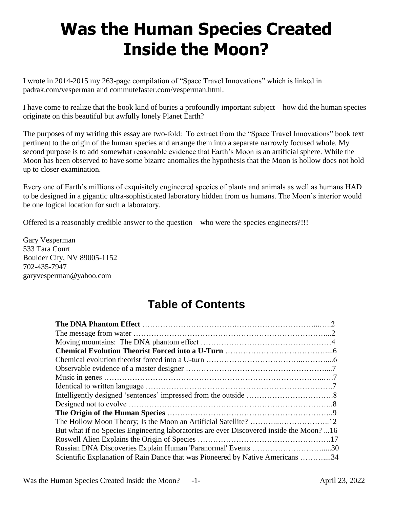# **Was the Human Species Created Inside the Moon?**

I wrote in 2014-2015 my 263-page compilation of "Space Travel Innovations" which is linked in padrak.com/vesperman and commutefaster.com/vesperman.html.

I have come to realize that the book kind of buries a profoundly important subject – how did the human species originate on this beautiful but awfully lonely Planet Earth?

The purposes of my writing this essay are two-fold: To extract from the "Space Travel Innovations" book text pertinent to the origin of the human species and arrange them into a separate narrowly focused whole. My second purpose is to add somewhat reasonable evidence that Earth's Moon is an artificial sphere. While the Moon has been observed to have some bizarre anomalies the hypothesis that the Moon is hollow does not hold up to closer examination.

Every one of Earth's millions of exquisitely engineered species of plants and animals as well as humans HAD to be designed in a gigantic ultra-sophisticated laboratory hidden from us humans. The Moon's interior would be one logical location for such a laboratory.

Offered is a reasonably credible answer to the question – who were the species engineers?!!!

Gary Vesperman 533 Tara Court Boulder City, NV 89005-1152 702-435-7947 garyvesperman@yahoo.com

# **Table of Contents**

| But what if no Species Engineering laboratories are ever Discovered inside the Moon? 16 |  |
|-----------------------------------------------------------------------------------------|--|
|                                                                                         |  |
|                                                                                         |  |
| Scientific Explanation of Rain Dance that was Pioneered by Native Americans 34          |  |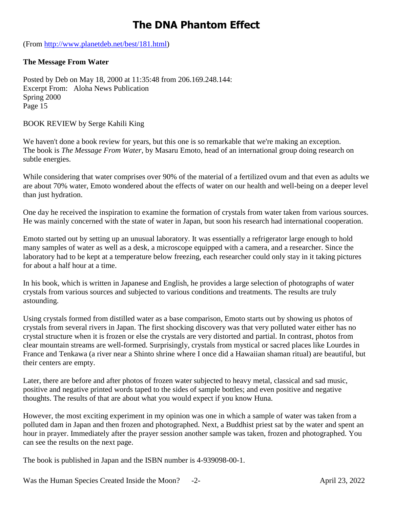# **The DNA Phantom Effect**

(From [http://www.planetdeb.net/best/181.html\)](http://www.planetdeb.net/best/181.html)

### **The Message From Water**

Posted by Deb on May 18, 2000 at 11:35:48 from 206.169.248.144: Excerpt From: Aloha News Publication Spring 2000 Page 15

#### BOOK REVIEW by Serge Kahili King

We haven't done a book review for years, but this one is so remarkable that we're making an exception. The book is *The Message From Water*, by Masaru Emoto, head of an international group doing research on subtle energies.

While considering that water comprises over 90% of the material of a fertilized ovum and that even as adults we are about 70% water, Emoto wondered about the effects of water on our health and well-being on a deeper level than just hydration.

One day he received the inspiration to examine the formation of crystals from water taken from various sources. He was mainly concerned with the state of water in Japan, but soon his research had international cooperation.

Emoto started out by setting up an unusual laboratory. It was essentially a refrigerator large enough to hold many samples of water as well as a desk, a microscope equipped with a camera, and a researcher. Since the laboratory had to be kept at a temperature below freezing, each researcher could only stay in it taking pictures for about a half hour at a time.

In his book, which is written in Japanese and English, he provides a large selection of photographs of water crystals from various sources and subjected to various conditions and treatments. The results are truly astounding.

Using crystals formed from distilled water as a base comparison, Emoto starts out by showing us photos of crystals from several rivers in Japan. The first shocking discovery was that very polluted water either has no crystal structure when it is frozen or else the crystals are very distorted and partial. In contrast, photos from clear mountain streams are well-formed. Surprisingly, crystals from mystical or sacred places like Lourdes in France and Tenkawa (a river near a Shinto shrine where I once did a Hawaiian shaman ritual) are beautiful, but their centers are empty.

Later, there are before and after photos of frozen water subjected to heavy metal, classical and sad music, positive and negative printed words taped to the sides of sample bottles; and even positive and negative thoughts. The results of that are about what you would expect if you know Huna.

However, the most exciting experiment in my opinion was one in which a sample of water was taken from a polluted dam in Japan and then frozen and photographed. Next, a Buddhist priest sat by the water and spent an hour in prayer. Immediately after the prayer session another sample was taken, frozen and photographed. You can see the results on the next page.

The book is published in Japan and the ISBN number is 4-939098-00-1.

Was the Human Species Created Inside the Moon? -2- April 23, 2022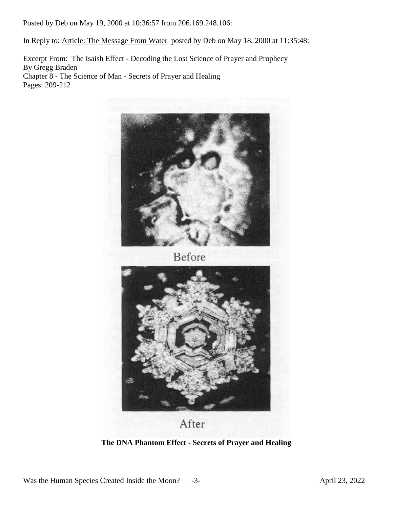Posted by Deb on May 19, 2000 at 10:36:57 from 206.169.248.106:

In Reply to: [Article: The Message From Water](http://www.planetdeb.net/best/181.html) posted by Deb on May 18, 2000 at 11:35:48:

Excerpt From: The Isaish Effect - Decoding the Lost Science of Prayer and Prophecy By Gregg Braden Chapter 8 - The Science of Man - Secrets of Prayer and Healing Pages: 209-212



After

**The DNA Phantom Effect - Secrets of Prayer and Healing**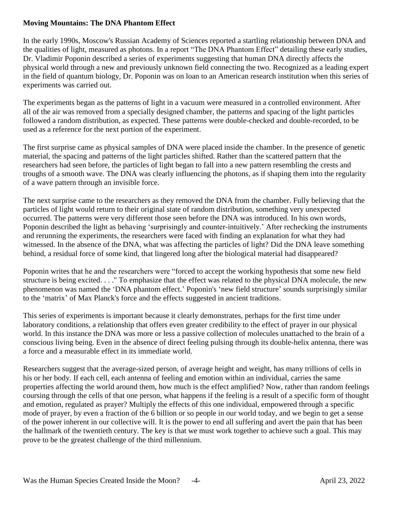# **Moving Mountains: The DNA Phantom Effect**

In the early 1990s, Moscow's Russian Academy of Sciences reported a startling relationship between DNA and the qualities of light, measured as photons. In a report "The DNA Phantom Effect" detailing these early studies, Dr. Vladimir Poponin described a series of experiments suggesting that human DNA directly affects the physical world through a new and previously unknown field connecting the two. Recognized as a leading expert in the field of quantum biology, Dr. Poponin was on loan to an American research institution when this series of experiments was carried out.

The experiments began as the patterns of light in a vacuum were measured in a controlled environment. After all of the air was removed from a specially designed chamber, the patterns and spacing of the light particles followed a random distribution, as expected. These patterns were double-checked and double-recorded, to be used as a reference for the next portion of the experiment.

The first surprise came as physical samples of DNA were placed inside the chamber. In the presence of genetic material, the spacing and patterns of the light particles shifted. Rather than the scattered pattern that the researchers had seen before, the particles of light began to fall into a new pattern resembling the crests and troughs of a smooth wave. The DNA was clearly influencing the photons, as if shaping them into the regularity of a wave pattern through an invisible force.

The next surprise came to the researchers as they removed the DNA from the chamber. Fully believing that the particles of light would return to their original state of random distribution, something very unexpected occurred. The patterns were very different those seen before the DNA was introduced. In his own words, Poponin described the light as behaving 'surprisingly and counter-intuitively.' After rechecking the instruments and rerunning the experiments, the researchers were faced with finding an explanation for what they had witnessed. In the absence of the DNA, what was affecting the particles of light? Did the DNA leave something behind, a residual force of some kind, that lingered long after the biological material had disappeared?

Poponin writes that he and the researchers were "forced to accept the working hypothesis that some new field structure is being excited. . . ." To emphasize that the effect was related to the physical DNA molecule, the new phenomenon was named the 'DNA phantom effect.' Poponin's 'new field structure' sounds surprisingly similar to the 'matrix' of Max Planck's force and the effects suggested in ancient traditions.

This series of experiments is important because it clearly demonstrates, perhaps for the first time under laboratory conditions, a relationship that offers even greater credibility to the effect of prayer in our physical world. In this instance the DNA was more or less a passive collection of molecules unattached to the brain of a conscious living being. Even in the absence of direct feeling pulsing through its double-helix antenna, there was a force and a measurable effect in its immediate world.

Researchers suggest that the average-sized person, of average height and weight, has many trillions of cells in his or her body. If each cell, each antenna of feeling and emotion within an individual, carries the same properties affecting the world around them, how much is the effect amplified? Now, rather than random feelings coursing through the cells of that one person, what happens if the feeling is a result of a specific form of thought and emotion, regulated as prayer? Multiply the effects of this one individual, empowered through a specific mode of prayer, by even a fraction of the 6 billion or so people in our world today, and we begin to get a sense of the power inherent in our collective will. It is the power to end all suffering and avert the pain that has been the hallmark of the twentieth century. The key is that we must work together to achieve such a goal. This may prove to be the greatest challenge of the third millennium.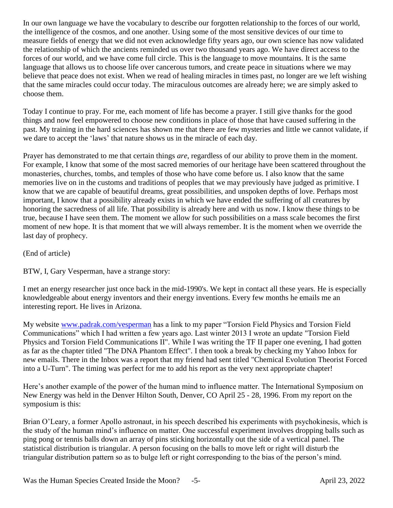In our own language we have the vocabulary to describe our forgotten relationship to the forces of our world, the intelligence of the cosmos, and one another. Using some of the most sensitive devices of our time to measure fields of energy that we did not even acknowledge fifty years ago, our own science has now validated the relationship of which the ancients reminded us over two thousand years ago. We have direct access to the forces of our world, and we have come full circle. This is the language to move mountains. It is the same language that allows us to choose life over cancerous tumors, and create peace in situations where we may believe that peace does not exist. When we read of healing miracles in times past, no longer are we left wishing that the same miracles could occur today. The miraculous outcomes are already here; we are simply asked to choose them.

Today I continue to pray. For me, each moment of life has become a prayer. I still give thanks for the good things and now feel empowered to choose new conditions in place of those that have caused suffering in the past. My training in the hard sciences has shown me that there are few mysteries and little we cannot validate, if we dare to accept the 'laws' that nature shows us in the miracle of each day.

Prayer has demonstrated to me that certain things *are*, regardless of our ability to prove them in the moment. For example, I know that some of the most sacred memories of our heritage have been scattered throughout the monasteries, churches, tombs, and temples of those who have come before us. I also know that the same memories live on in the customs and traditions of peoples that we may previously have judged as primitive. I know that we are capable of beautiful dreams, great possibilities, and unspoken depths of love. Perhaps most important, I know that a possibility already exists in which we have ended the suffering of all creatures by honoring the sacredness of all life. That possibility is already here and with us now. I know these things to be true, because I have seen them. The moment we allow for such possibilities on a mass scale becomes the first moment of new hope. It is that moment that we will always remember. It is the moment when we override the last day of prophecy.

(End of article)

BTW, I, Gary Vesperman, have a strange story:

I met an energy researcher just once back in the mid-1990's. We kept in contact all these years. He is especially knowledgeable about energy inventors and their energy inventions. Every few months he emails me an interesting report. He lives in Arizona.

My website [www.padrak.com/vesperman](http://www.padrak.com/vesperman) has a link to my paper "Torsion Field Physics and Torsion Field Communications" which I had written a few years ago. Last winter 2013 I wrote an update "Torsion Field Physics and Torsion Field Communications II". While I was writing the TF II paper one evening, I had gotten as far as the chapter titled "The DNA Phantom Effect". I then took a break by checking my Yahoo Inbox for new emails. There in the Inbox was a report that my friend had sent titled "Chemical Evolution Theorist Forced into a U-Turn". The timing was perfect for me to add his report as the very next appropriate chapter!

Here's another example of the power of the human mind to influence matter. The International Symposium on New Energy was held in the Denver Hilton South, Denver, CO April 25 - 28, 1996. From my report on the symposium is this:

Brian O'Leary, a former Apollo astronaut, in his speech described his experiments with psychokinesis, which is the study of the human mind's influence on matter. One successful experiment involves dropping balls such as ping pong or tennis balls down an array of pins sticking horizontally out the side of a vertical panel. The statistical distribution is triangular. A person focusing on the balls to move left or right will disturb the triangular distribution pattern so as to bulge left or right corresponding to the bias of the person's mind.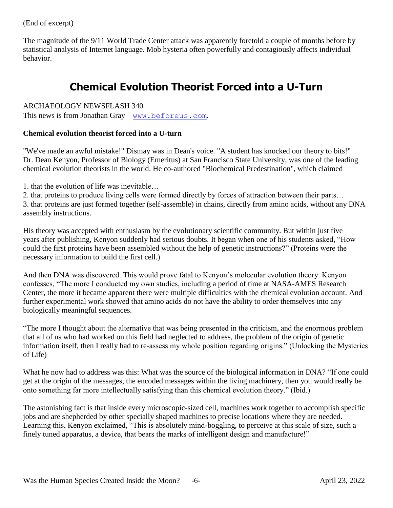(End of excerpt)

The magnitude of the 9/11 World Trade Center attack was apparently foretold a couple of months before by statistical analysis of Internet language. Mob hysteria often powerfully and contagiously affects individual behavior.

# **Chemical Evolution Theorist Forced into a U-Turn**

ARCHAEOLOGY NEWSFLASH 340 This news is from Jonathan Gray – [www.beforeus.com](http://www.beforeus.com/).

# **Chemical evolution theorist forced into a U-turn**

"We've made an awful mistake!" Dismay was in Dean's voice. "A student has knocked our theory to bits!" Dr. Dean Kenyon, Professor of Biology (Emeritus) at San Francisco State University, was one of the leading chemical evolution theorists in the world. He co-authored "Biochemical Predestination", which claimed

1. that the evolution of life was inevitable…

2. that proteins to produce living cells were formed directly by forces of attraction between their parts…

3. that proteins are just formed together (self-assemble) in chains, directly from amino acids, without any DNA assembly instructions.

His theory was accepted with enthusiasm by the evolutionary scientific community. But within just five years after publishing, Kenyon suddenly had serious doubts. It began when one of his students asked, "How could the first proteins have been assembled without the help of genetic instructions?" (Proteins were the necessary information to build the first cell.)

And then DNA was discovered. This would prove fatal to Kenyon's molecular evolution theory. Kenyon confesses, "The more I conducted my own studies, including a period of time at NASA-AMES Research Center, the more it became apparent there were multiple difficulties with the chemical evolution account. And further experimental work showed that amino acids do not have the ability to order themselves into any biologically meaningful sequences.

"The more I thought about the alternative that was being presented in the criticism, and the enormous problem that all of us who had worked on this field had neglected to address, the problem of the origin of genetic information itself, then I really had to re-assess my whole position regarding origins." (Unlocking the Mysteries of Life)

What he now had to address was this: What was the source of the biological information in DNA? "If one could get at the origin of the messages, the encoded messages within the living machinery, then you would really be onto something far more intellectually satisfying than this chemical evolution theory." (Ibid.)

The astonishing fact is that inside every microscopic-sized cell, machines work together to accomplish specific jobs and are shepherded by other specially shaped machines to precise locations where they are needed. Learning this, Kenyon exclaimed, "This is absolutely mind-boggling, to perceive at this scale of size, such a finely tuned apparatus, a device, that bears the marks of intelligent design and manufacture!"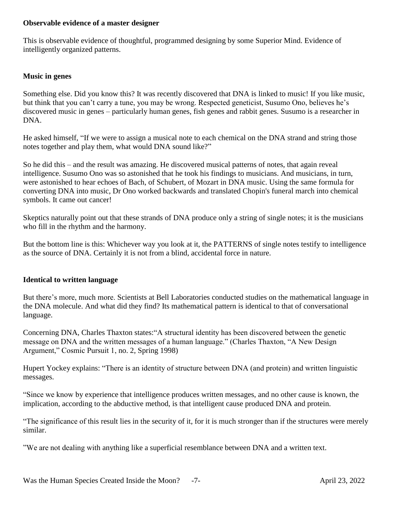#### **Observable evidence of a master designer**

This is observable evidence of thoughtful, programmed designing by some Superior Mind. Evidence of intelligently organized patterns.

### **Music in genes**

Something else. Did you know this? It was recently discovered that DNA is linked to music! If you like music, but think that you can't carry a tune, you may be wrong. Respected geneticist, Susumo Ono, believes he's discovered music in genes – particularly human genes, fish genes and rabbit genes. Susumo is a researcher in DNA.

He asked himself, "If we were to assign a musical note to each chemical on the DNA strand and string those notes together and play them, what would DNA sound like?"

So he did this – and the result was amazing. He discovered musical patterns of notes, that again reveal intelligence. Susumo Ono was so astonished that he took his findings to musicians. And musicians, in turn, were astonished to hear echoes of Bach, of Schubert, of Mozart in DNA music. Using the same formula for converting DNA into music, Dr Ono worked backwards and translated Chopin's funeral march into chemical symbols. It came out cancer!

Skeptics naturally point out that these strands of DNA produce only a string of single notes; it is the musicians who fill in the rhythm and the harmony.

But the bottom line is this: Whichever way you look at it, the PATTERNS of single notes testify to intelligence as the source of DNA. Certainly it is not from a blind, accidental force in nature.

# **Identical to written language**

But there's more, much more. Scientists at Bell Laboratories conducted studies on the mathematical language in the DNA molecule. And what did they find? Its mathematical pattern is identical to that of conversational language.

Concerning DNA, Charles Thaxton states:"A structural identity has been discovered between the genetic message on DNA and the written messages of a human language." (Charles Thaxton, "A New Design Argument," Cosmic Pursuit 1, no. 2, Spring 1998)

Hupert Yockey explains: "There is an identity of structure between DNA (and protein) and written linguistic messages.

"Since we know by experience that intelligence produces written messages, and no other cause is known, the implication, according to the abductive method, is that intelligent cause produced DNA and protein.

"The significance of this result lies in the security of it, for it is much stronger than if the structures were merely similar.

"We are not dealing with anything like a superficial resemblance between DNA and a written text.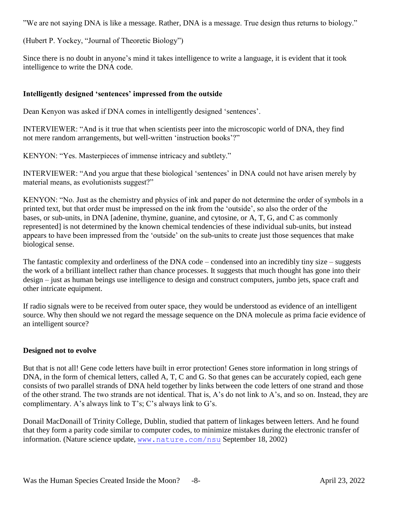"We are not saying DNA is like a message. Rather, DNA is a message. True design thus returns to biology."

(Hubert P. Yockey, "Journal of Theoretic Biology")

Since there is no doubt in anyone's mind it takes intelligence to write a language, it is evident that it took intelligence to write the DNA code.

# **Intelligently designed 'sentences' impressed from the outside**

Dean Kenyon was asked if DNA comes in intelligently designed 'sentences'.

INTERVIEWER: "And is it true that when scientists peer into the microscopic world of DNA, they find not mere random arrangements, but well-written 'instruction books'?"

KENYON: "Yes. Masterpieces of immense intricacy and subtlety."

INTERVIEWER: "And you argue that these biological 'sentences' in DNA could not have arisen merely by material means, as evolutionists suggest?"

KENYON: "No. Just as the chemistry and physics of ink and paper do not determine the order of symbols in a printed text, but that order must be impressed on the ink from the 'outside', so also the order of the bases, or sub-units, in DNA [adenine, thymine, guanine, and cytosine, or A, T, G, and C as commonly represented] is not determined by the known chemical tendencies of these individual sub-units, but instead appears to have been impressed from the 'outside' on the sub-units to create just those sequences that make biological sense.

The fantastic complexity and orderliness of the DNA code – condensed into an incredibly tiny size – suggests the work of a brilliant intellect rather than chance processes. It suggests that much thought has gone into their design – just as human beings use intelligence to design and construct computers, jumbo jets, space craft and other intricate equipment.

If radio signals were to be received from outer space, they would be understood as evidence of an intelligent source. Why then should we not regard the message sequence on the DNA molecule as prima facie evidence of an intelligent source?

# **Designed not to evolve**

But that is not all! Gene code letters have built in error protection! Genes store information in long strings of DNA, in the form of chemical letters, called A, T, C and G. So that genes can be accurately copied, each gene consists of two parallel strands of DNA held together by links between the code letters of one strand and those of the other strand. The two strands are not identical. That is, A's do not link to A's, and so on. Instead, they are complimentary. A's always link to T's; C's always link to G's.

Donail MacDonaill of Trinity College, Dublin, studied that pattern of linkages between letters. And he found that they form a parity code similar to computer codes, to minimize mistakes during the electronic transfer of information. (Nature science update, [www.nature.com/nsu](http://www.nature.com/nsu) September 18, 2002)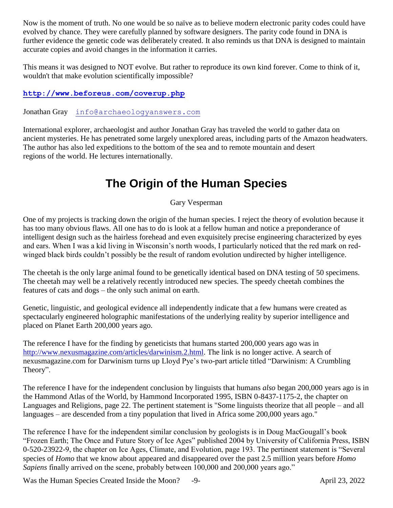Now is the moment of truth. No one would be so naïve as to believe modern electronic parity codes could have evolved by chance. They were carefully planned by software designers. The parity code found in DNA is further evidence the genetic code was deliberately created. It also reminds us that DNA is designed to maintain accurate copies and avoid changes in the information it carries.

This means it was designed to NOT evolve. But rather to reproduce its own kind forever. Come to think of it, wouldn't that make evolution scientifically impossible?

# **<http://www.beforeus.com/coverup.php>**

Jonathan Gray [info@archaeologyanswers.com](mailto:info@archaeologyanswers.com)

International explorer, archaeologist and author Jonathan Gray has traveled the world to gather data on ancient mysteries. He has penetrated some largely unexplored areas, including parts of the Amazon headwaters. The author has also led expeditions to the bottom of the sea and to remote mountain and desert regions of the world. He lectures internationally.

# **The Origin of the Human Species**

# Gary Vesperman

One of my projects is tracking down the origin of the human species. I reject the theory of evolution because it has too many obvious flaws. All one has to do is look at a fellow human and notice a preponderance of intelligent design such as the hairless forehead and even exquisitely precise engineering characterized by eyes and ears. When I was a kid living in Wisconsin's north woods, I particularly noticed that the red mark on redwinged black birds couldn't possibly be the result of random evolution undirected by higher intelligence.

The cheetah is the only large animal found to be genetically identical based on DNA testing of 50 specimens. The cheetah may well be a relatively recently introduced new species. The speedy cheetah combines the features of cats and dogs – the only such animal on earth.

Genetic, linguistic, and geological evidence all independently indicate that a few humans were created as spectacularly engineered holographic manifestations of the underlying reality by superior intelligence and placed on Planet Earth 200,000 years ago.

The reference I have for the finding by geneticists that humans started 200,000 years ago was in [http://www.nexusmagazine.com/articles/darwinism.2.html.](http://www.nexusmagazine.com/articles/darwinism.2.html) The link is no longer active. A search of nexusmagazine.com for Darwinism turns up Lloyd Pye's two-part article titled "Darwinism: A Crumbling Theory".

The reference I have for the independent conclusion by linguists that humans *also* began 200,000 years ago is in the Hammond Atlas of the World, by Hammond Incorporated 1995, ISBN 0-8437-1175-2, the chapter on Languages and Religions, page 22. The pertinent statement is "Some linguists theorize that all people – and all languages – are descended from a tiny population that lived in Africa some 200,000 years ago."

The reference I have for the independent similar conclusion by geologists is in Doug MacGougall's book "Frozen Earth; The Once and Future Story of Ice Ages" published 2004 by University of California Press, ISBN 0-520-23922-9, the chapter on Ice Ages, Climate, and Evolution, page 193. The pertinent statement is "Several species of *Homo* that we know about appeared and disappeared over the past 2.5 million years before *Homo Sapiens* finally arrived on the scene, probably between 100,000 and 200,000 years ago."

Was the Human Species Created Inside the Moon? -9- April 23, 2022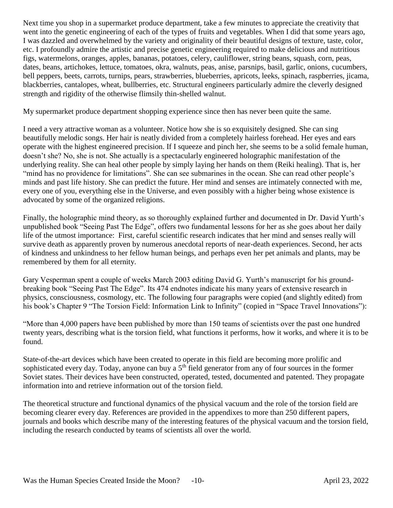Next time you shop in a supermarket produce department, take a few minutes to appreciate the creativity that went into the genetic engineering of each of the types of fruits and vegetables. When I did that some years ago, I was dazzled and overwhelmed by the variety and originality of their beautiful designs of texture, taste, color, etc. I profoundly admire the artistic and precise genetic engineering required to make delicious and nutritious figs, watermelons, oranges, apples, bananas, potatoes, celery, cauliflower, string beans, squash, corn, peas, dates, beans, artichokes, lettuce, tomatoes, okra, walnuts, peas, anise, parsnips, basil, garlic, onions, cucumbers, bell peppers, beets, carrots, turnips, pears, strawberries, blueberries, apricots, leeks, spinach, raspberries, jicama, blackberries, cantalopes, wheat, bullberries, etc. Structural engineers particularly admire the cleverly designed strength and rigidity of the otherwise flimsily thin-shelled walnut.

My supermarket produce department shopping experience since then has never been quite the same.

I need a very attractive woman as a volunteer. Notice how she is so exquisitely designed. She can sing beautifully melodic songs. Her hair is neatly divided from a completely hairless forehead. Her eyes and ears operate with the highest engineered precision. If I squeeze and pinch her, she seems to be a solid female human, doesn't she? No, she is not. She actually is a spectacularly engineered holographic manifestation of the underlying reality. She can heal other people by simply laying her hands on them (Reiki healing). That is, her "mind has no providence for limitations". She can see submarines in the ocean. She can read other people's minds and past life history. She can predict the future. Her mind and senses are intimately connected with me, every one of you, everything else in the Universe, and even possibly with a higher being whose existence is advocated by some of the organized religions.

Finally, the holographic mind theory, as so thoroughly explained further and documented in Dr. David Yurth's unpublished book "Seeing Past The Edge", offers two fundamental lessons for her as she goes about her daily life of the utmost importance: First, careful scientific research indicates that her mind and senses really will survive death as apparently proven by numerous anecdotal reports of near-death experiences. Second, her acts of kindness and unkindness to her fellow human beings, and perhaps even her pet animals and plants, may be remembered by them for all eternity.

Gary Vesperman spent a couple of weeks March 2003 editing David G. Yurth's manuscript for his groundbreaking book "Seeing Past The Edge". Its 474 endnotes indicate his many years of extensive research in physics, consciousness, cosmology, etc. The following four paragraphs were copied (and slightly edited) from his book's Chapter 9 "The Torsion Field: Information Link to Infinity" (copied in "Space Travel Innovations"):

"More than 4,000 papers have been published by more than 150 teams of scientists over the past one hundred twenty years, describing what is the torsion field, what functions it performs, how it works, and where it is to be found.

State-of-the-art devices which have been created to operate in this field are becoming more prolific and sophisticated every day. Today, anyone can buy a  $5<sup>th</sup>$  field generator from any of four sources in the former Soviet states. Their devices have been constructed, operated, tested, documented and patented. They propagate information into and retrieve information out of the torsion field.

The theoretical structure and functional dynamics of the physical vacuum and the role of the torsion field are becoming clearer every day. References are provided in the appendixes to more than 250 different papers, journals and books which describe many of the interesting features of the physical vacuum and the torsion field, including the research conducted by teams of scientists all over the world.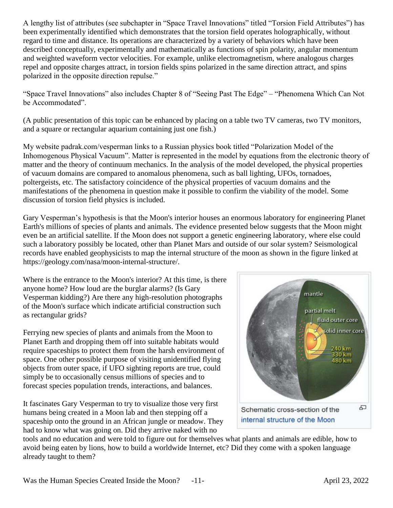A lengthy list of attributes (see subchapter in "Space Travel Innovations" titled "Torsion Field Attributes") has been experimentally identified which demonstrates that the torsion field operates holographically, without regard to time and distance. Its operations are characterized by a variety of behaviors which have been described conceptually, experimentally and mathematically as functions of spin polarity, angular momentum and weighted waveform vector velocities. For example, unlike electromagnetism, where analogous charges repel and opposite charges attract, in torsion fields spins polarized in the same direction attract, and spins polarized in the opposite direction repulse."

"Space Travel Innovations" also includes Chapter 8 of "Seeing Past The Edge" – "Phenomena Which Can Not be Accommodated".

(A public presentation of this topic can be enhanced by placing on a table two TV cameras, two TV monitors, and a square or rectangular aquarium containing just one fish.)

My website padrak.com/vesperman links to a Russian physics book titled "Polarization Model of the Inhomogenous Physical Vacuum". Matter is represented in the model by equations from the electronic theory of matter and the theory of continuum mechanics. In the analysis of the model developed, the physical properties of vacuum domains are compared to anomalous phenomena, such as ball lighting, UFOs, tornadoes, poltergeists, etc. The satisfactory coincidence of the physical properties of vacuum domains and the manifestations of the phenomena in question make it possible to confirm the viability of the model. Some discussion of torsion field physics is included.

Gary Vesperman's hypothesis is that the Moon's interior houses an enormous laboratory for engineering Planet Earth's millions of species of plants and animals. The evidence presented below suggests that the Moon might even be an artificial satellite. If the Moon does not support a genetic engineering laboratory, where else could such a laboratory possibly be located, other than Planet Mars and outside of our solar system? Seismological records have enabled geophysicists to map the internal structure of the moon as shown in the figure linked at https://geology.com/nasa/moon-internal-structure/.

Where is the entrance to the Moon's interior? At this time, is there anyone home? How loud are the burglar alarms? (Is Gary Vesperman kidding?) Are there any high-resolution photographs of the Moon's surface which indicate artificial construction such as rectangular grids?

Ferrying new species of plants and animals from the Moon to Planet Earth and dropping them off into suitable habitats would require spaceships to protect them from the harsh environment of space. One other possible purpose of visiting unidentified flying objects from outer space, if UFO sighting reports are true, could simply be to occasionally census millions of species and to forecast species population trends, interactions, and balances.

It fascinates Gary Vesperman to try to visualize those very first humans being created in a Moon lab and then stepping off a spaceship onto the ground in an African jungle or meadow. They had to know what was going on. Did they arrive naked with no



tools and no education and were told to figure out for themselves what plants and animals are edible, how to avoid being eaten by lions, how to build a worldwide Internet, etc? Did they come with a spoken language already taught to them?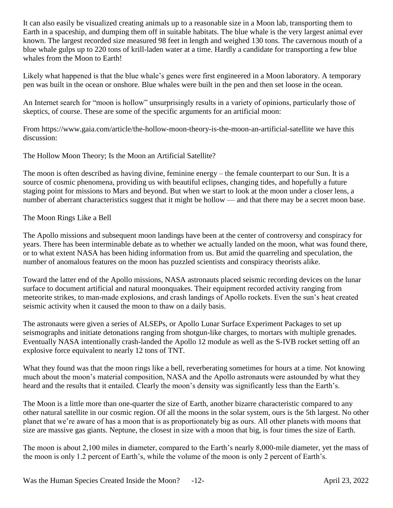It can also easily be visualized creating animals up to a reasonable size in a Moon lab, transporting them to Earth in a spaceship, and dumping them off in suitable habitats. The blue whale is the very largest animal ever known. The largest recorded size measured 98 feet in length and weighed 130 tons. The cavernous mouth of a blue whale gulps up to 220 tons of krill-laden water at a time. Hardly a candidate for transporting a few blue whales from the Moon to Earth!

Likely what happened is that the blue whale's genes were first engineered in a Moon laboratory. A temporary pen was built in the ocean or onshore. Blue whales were built in the pen and then set loose in the ocean.

An Internet search for "moon is hollow" unsurprisingly results in a variety of opinions, particularly those of skeptics, of course. These are some of the specific arguments for an artificial moon:

From https://www.gaia.com/article/the-hollow-moon-theory-is-the-moon-an-artificial-satellite we have this discussion:

The Hollow Moon Theory; Is the Moon an Artificial Satellite?

The moon is often described as having divine, feminine energy – the female counterpart to our Sun. It is a source of cosmic phenomena, providing us with beautiful eclipses, changing tides, and hopefully a future staging point for missions to Mars and beyond. But when we start to look at the moon under a closer lens, a number of aberrant characteristics suggest that it might be hollow — and that there may be a secret moon base.

### The Moon Rings Like a Bell

The Apollo missions and subsequent moon landings have been at the center of controversy and conspiracy for years. There has been interminable debate as to whether we actually landed on the moon, what was found there, or to what extent NASA has been hiding information from us. But amid the quarreling and speculation, the number of anomalous features on the moon has puzzled scientists and conspiracy theorists alike.

Toward the latter end of the Apollo missions, NASA astronauts placed seismic recording devices on the lunar surface to document artificial and natural moonquakes. Their equipment recorded activity ranging from meteorite strikes, to man-made explosions, and crash landings of Apollo rockets. Even the sun's heat created seismic activity when it caused the moon to thaw on a daily basis.

The astronauts were given a series of ALSEPs, or Apollo Lunar Surface Experiment Packages to set up seismographs and initiate detonations ranging from shotgun-like charges, to mortars with multiple grenades. Eventually NASA intentionally crash-landed the Apollo 12 module as well as the S-IVB rocket setting off an explosive force equivalent to nearly 12 tons of TNT.

What they found was that the moon rings like a bell, reverberating sometimes for hours at a time. Not knowing much about the moon's material composition, NASA and the Apollo astronauts were astounded by what they heard and the results that it entailed. Clearly the moon's density was significantly less than the Earth's.

The Moon is a little more than one-quarter the size of Earth, another bizarre characteristic compared to any other natural satellite in our cosmic region. Of all the moons in the solar system, ours is the 5th largest. No other planet that we're aware of has a moon that is as proportionately big as ours. All other planets with moons that size are massive gas giants. Neptune, the closest in size with a moon that big, is four times the size of Earth.

The moon is about 2,100 miles in diameter, compared to the Earth's nearly 8,000-mile diameter, yet the mass of the moon is only 1.2 percent of Earth's, while the volume of the moon is only 2 percent of Earth's.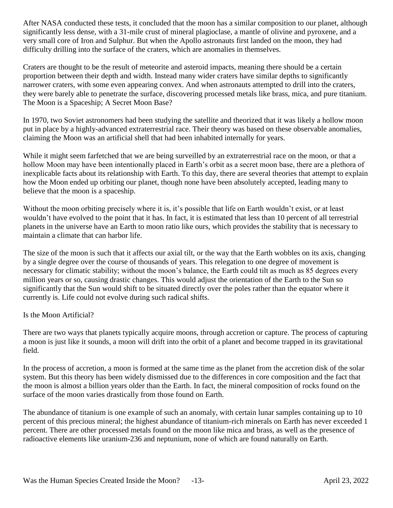After NASA conducted these tests, it concluded that the moon has a similar composition to our planet, although significantly less dense, with a 31-mile crust of mineral plagioclase, a mantle of olivine and pyroxene, and a very small core of Iron and Sulphur. But when the Apollo astronauts first landed on the moon, they had difficulty drilling into the surface of the craters, which are anomalies in themselves.

Craters are thought to be the result of meteorite and asteroid impacts, meaning there should be a certain proportion between their depth and width. Instead many wider craters have similar depths to significantly narrower craters, with some even appearing convex. And when astronauts attempted to drill into the craters, they were barely able to penetrate the surface, discovering processed metals like brass, mica, and pure titanium. The Moon is a Spaceship; A Secret Moon Base?

In 1970, two Soviet astronomers had been studying the satellite and theorized that it was likely a hollow moon put in place by a highly-advanced extraterrestrial race. Their theory was based on these observable anomalies, claiming the Moon was an artificial shell that had been inhabited internally for years.

While it might seem farfetched that we are being surveilled by an extraterrestrial race on the moon, or that a hollow Moon may have been intentionally placed in Earth's orbit as a secret moon base, there are a plethora of inexplicable facts about its relationship with Earth. To this day, there are several theories that attempt to explain how the Moon ended up orbiting our planet, though none have been absolutely accepted, leading many to believe that the moon is a spaceship.

Without the moon orbiting precisely where it is, it's possible that life on Earth wouldn't exist, or at least wouldn't have evolved to the point that it has. In fact, it is estimated that less than 10 percent of all terrestrial planets in the universe have an Earth to moon ratio like ours, which provides the stability that is necessary to maintain a climate that can harbor life.

The size of the moon is such that it affects our axial tilt, or the way that the Earth wobbles on its axis, changing by a single degree over the course of thousands of years. This relegation to one degree of movement is necessary for climatic stability; without the moon's balance, the Earth could tilt as much as 85 degrees every million years or so, causing drastic changes. This would adjust the orientation of the Earth to the Sun so significantly that the Sun would shift to be situated directly over the poles rather than the equator where it currently is. Life could not evolve during such radical shifts.

# Is the Moon Artificial?

There are two ways that planets typically acquire moons, through accretion or capture. The process of capturing a moon is just like it sounds, a moon will drift into the orbit of a planet and become trapped in its gravitational field.

In the process of accretion, a moon is formed at the same time as the planet from the accretion disk of the solar system. But this theory has been widely dismissed due to the differences in core composition and the fact that the moon is almost a billion years older than the Earth. In fact, the mineral composition of rocks found on the surface of the moon varies drastically from those found on Earth.

The abundance of titanium is one example of such an anomaly, with certain lunar samples containing up to 10 percent of this precious mineral; the highest abundance of titanium-rich minerals on Earth has never exceeded 1 percent. There are other processed metals found on the moon like mica and brass, as well as the presence of radioactive elements like uranium-236 and neptunium, none of which are found naturally on Earth.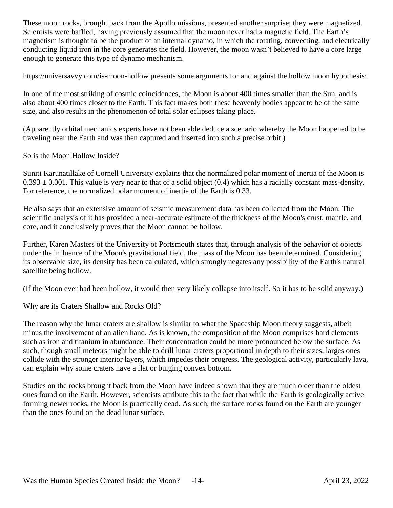These moon rocks, brought back from the Apollo missions, presented another surprise; they were magnetized. Scientists were baffled, having previously assumed that the moon never had a magnetic field. The Earth's magnetism is thought to be the product of an internal dynamo, in which the rotating, convecting, and electrically conducting liquid iron in the core generates the field. However, the moon wasn't believed to have a core large enough to generate this type of dynamo mechanism.

https://universavvy.com/is-moon-hollow presents some arguments for and against the hollow moon hypothesis:

In one of the most striking of cosmic coincidences, the Moon is about 400 times smaller than the Sun, and is also about 400 times closer to the Earth. This fact makes both these heavenly bodies appear to be of the same size, and also results in the phenomenon of total solar eclipses taking place.

(Apparently orbital mechanics experts have not been able deduce a scenario whereby the Moon happened to be traveling near the Earth and was then captured and inserted into such a precise orbit.)

So is the Moon Hollow Inside?

Suniti Karunatillake of Cornell University explains that the normalized polar moment of inertia of the Moon is  $0.393 \pm 0.001$ . This value is very near to that of a solid object (0.4) which has a radially constant mass-density. For reference, the normalized polar moment of inertia of the Earth is 0.33.

He also says that an extensive amount of seismic measurement data has been collected from the Moon. The scientific analysis of it has provided a near-accurate estimate of the thickness of the Moon's crust, mantle, and core, and it conclusively proves that the Moon cannot be hollow.

Further, Karen Masters of the University of Portsmouth states that, through analysis of the behavior of objects under the influence of the Moon's gravitational field, the mass of the Moon has been determined. Considering its observable size, its density has been calculated, which strongly negates any possibility of the Earth's natural satellite being hollow.

(If the Moon ever had been hollow, it would then very likely collapse into itself. So it has to be solid anyway.)

Why are its Craters Shallow and Rocks Old?

The reason why the lunar craters are shallow is similar to what the Spaceship Moon theory suggests, albeit minus the involvement of an alien hand. As is known, the composition of the Moon comprises hard elements such as iron and titanium in abundance. Their concentration could be more pronounced below the surface. As such, though small meteors might be able to drill lunar craters proportional in depth to their sizes, larges ones collide with the stronger interior layers, which impedes their progress. The geological activity, particularly lava, can explain why some craters have a flat or bulging convex bottom.

Studies on the rocks brought back from the Moon have indeed shown that they are much older than the oldest ones found on the Earth. However, scientists attribute this to the fact that while the Earth is geologically active forming newer rocks, the Moon is practically dead. As such, the surface rocks found on the Earth are younger than the ones found on the dead lunar surface.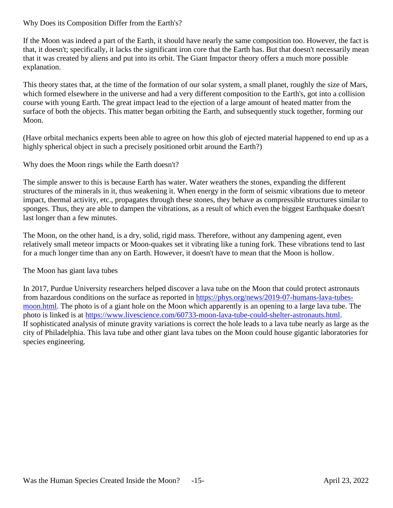Why Does its Composition Differ from the Earth's?

If the Moon was indeed a part of the Earth, it should have nearly the same composition too. However, the fact is that, it doesn't; specifically, it lacks the significant iron core that the Earth has. But that doesn't necessarily mean that it was created by aliens and put into its orbit. The Giant Impactor theory offers a much more possible explanation.

This theory states that, at the time of the formation of our solar system, a small planet, roughly the size of Mars, which formed elsewhere in the universe and had a very different composition to the Earth's, got into a collision course with young Earth. The great impact lead to the ejection of a large amount of heated matter from the surface of both the objects. This matter began orbiting the Earth, and subsequently stuck together, forming our Moon.

(Have orbital mechanics experts been able to agree on how this glob of ejected material happened to end up as a highly spherical object in such a precisely positioned orbit around the Earth?)

Why does the Moon rings while the Earth doesn't?

The simple answer to this is because Earth has water. Water weathers the stones, expanding the different structures of the minerals in it, thus weakening it. When energy in the form of seismic vibrations due to meteor impact, thermal activity, etc., propagates through these stones, they behave as compressible structures similar to sponges. Thus, they are able to dampen the vibrations, as a result of which even the biggest Earthquake doesn't last longer than a few minutes.

The Moon, on the other hand, is a dry, solid, rigid mass. Therefore, without any dampening agent, even relatively small meteor impacts or Moon-quakes set it vibrating like a tuning fork. These vibrations tend to last for a much longer time than any on Earth. However, it doesn't have to mean that the Moon is hollow.

The Moon has giant lava tubes

In 2017, Purdue University researchers helped discover a lava tube on the Moon that could protect astronauts from hazardous conditions on the surface as reported in [https://phys.org/news/2019-07-humans-lava-tubes](https://phys.org/news/2019-07-humans-lava-tubes-moon.html)[moon.html.](https://phys.org/news/2019-07-humans-lava-tubes-moon.html) The photo is of a giant hole on the Moon which apparently is an opening to a large lava tube. The photo is linked is at [https://www.livescience.com/60733-moon-lava-tube-could-shelter-astronauts.html.](https://www.livescience.com/60733-moon-lava-tube-could-shelter-astronauts.html) If sophisticated analysis of minute gravity variations is correct the hole leads to a lava tube nearly as large as the city of Philadelphia. This lava tube and other giant lava tubes on the Moon could house gigantic laboratories for species engineering.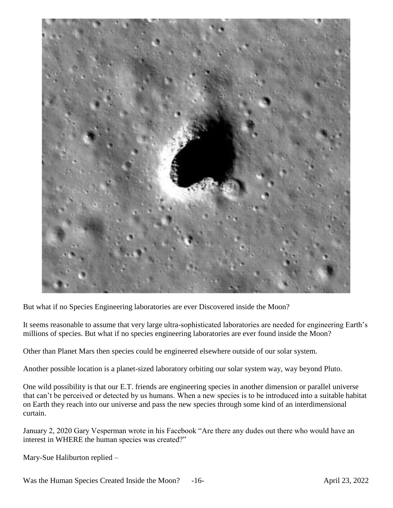

But what if no Species Engineering laboratories are ever Discovered inside the Moon?

It seems reasonable to assume that very large ultra-sophisticated laboratories are needed for engineering Earth's millions of species. But what if no species engineering laboratories are ever found inside the Moon?

Other than Planet Mars then species could be engineered elsewhere outside of our solar system.

Another possible location is a planet-sized laboratory orbiting our solar system way, way beyond Pluto.

One wild possibility is that our E.T. friends are engineering species in another dimension or parallel universe that can't be perceived or detected by us humans. When a new species is to be introduced into a suitable habitat on Earth they reach into our universe and pass the new species through some kind of an interdimensional curtain.

January 2, 2020 Gary Vesperman wrote in his Facebook "Are there any dudes out there who would have an interest in WHERE the human species was created?"

Mary-Sue Haliburton replied –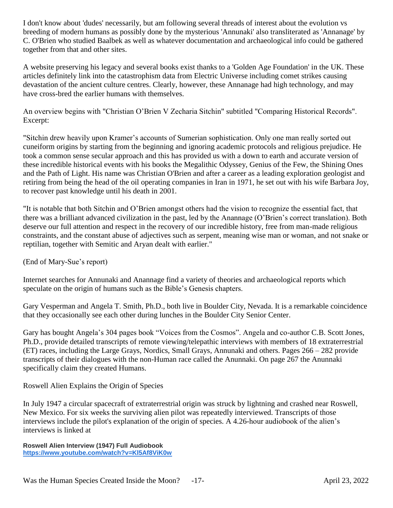I don't know about 'dudes' necessarily, but am following several threads of interest about the evolution vs breeding of modern humans as possibly done by the mysterious 'Annunaki' also transliterated as 'Annanage' by C. O'Brien who studied Baalbek as well as whatever documentation and archaeological info could be gathered together from that and other sites.

A website preserving his legacy and several books exist thanks to a 'Golden Age Foundation' in the UK. These articles definitely link into the catastrophism data from Electric Universe including comet strikes causing devastation of the ancient culture centres. Clearly, however, these Annanage had high technology, and may have cross-bred the earlier humans with themselves.

An overview begins with "Christian O'Brien V Zecharia Sitchin" subtitled "Comparing Historical Records". Excerpt:

"Sitchin drew heavily upon Kramer's accounts of Sumerian sophistication. Only one man really sorted out cuneiform origins by starting from the beginning and ignoring academic protocols and religious prejudice. He took a common sense secular approach and this has provided us with a down to earth and accurate version of these incredible historical events with his books the Megalithic Odyssey, Genius of the Few, the Shining Ones and the Path of Light. His name was Christian O'Brien and after a career as a leading exploration geologist and retiring from being the head of the oil operating companies in Iran in 1971, he set out with his wife Barbara Joy, to recover past knowledge until his death in 2001.

"It is notable that both Sitchin and O'Brien amongst others had the vision to recognize the essential fact, that there was a brilliant advanced civilization in the past, led by the Anannage (O'Brien's correct translation). Both deserve our full attention and respect in the recovery of our incredible history, free from man-made religious constraints, and the constant abuse of adjectives such as serpent, meaning wise man or woman, and not snake or reptilian, together with Semitic and Aryan dealt with earlier."

(End of Mary-Sue's report)

Internet searches for Annunaki and Anannage find a variety of theories and archaeological reports which speculate on the origin of humans such as the Bible's Genesis chapters.

Gary Vesperman and Angela T. Smith, Ph.D., both live in Boulder City, Nevada. It is a remarkable coincidence that they occasionally see each other during lunches in the Boulder City Senior Center.

Gary has bought Angela's 304 pages book "Voices from the Cosmos". Angela and co-author C.B. Scott Jones, Ph.D., provide detailed transcripts of remote viewing/telepathic interviews with members of 18 extraterrestrial (ET) races, including the Large Grays, Nordics, Small Grays, Annunaki and others. Pages 266 – 282 provide transcripts of their dialogues with the non-Human race called the Anunnaki. On page 267 the Anunnaki specifically claim they created Humans.

Roswell Alien Explains the Origin of Species

In July 1947 a circular spacecraft of extraterrestrial origin was struck by lightning and crashed near Roswell, New Mexico. For six weeks the surviving alien pilot was repeatedly interviewed. Transcripts of those interviews include the pilot's explanation of the origin of species. A 4.26-hour audiobook of the alien's interviews is linked at

**Roswell Alien Interview (1947) Full Audiobook <https://www.youtube.com/watch?v=Kl5Af8ViK0w>**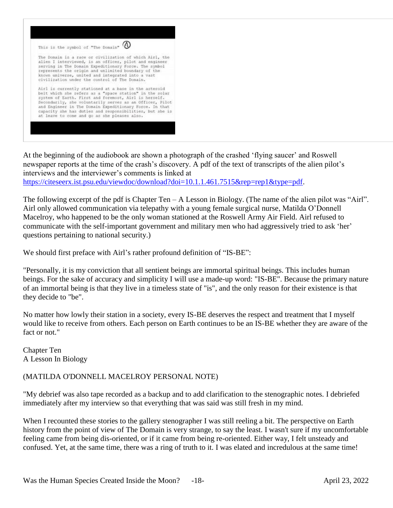This is the symbol of "The Domain" The Domain is a race or civilization of which Airl, the alien I interviewed, is an officer, pilot and engineer<br>serving in The Domain Expeditionary Force. The symbol represents the origin and unlimited boundary of the known universe, united and integrated into a vast<br>civilization under the control of The Domain. Airl is currently stationed at a base in the asteroid belt which she refers as a "space station" in the solar system of Earth. First and foremost, Airl is herself. Secondarily, she voluntarily serves as an Officer, Pilot<br>and Engineer in The Domain Expeditionary Force. In that capacity she has duties and responsibilities, but she is at leave to come and go as she pleases also.

At the beginning of the audiobook are shown a photograph of the crashed 'flying saucer' and Roswell newspaper reports at the time of the crash's discovery. A pdf of the text of transcripts of the alien pilot's interviews and the interviewer's comments is linked at [https://citeseerx.ist.psu.edu/viewdoc/download?doi=10.1.1.461.7515&rep=rep1&type=pdf.](https://citeseerx.ist.psu.edu/viewdoc/download?doi=10.1.1.461.7515&rep=rep1&type=pdf)

The following excerpt of the pdf is Chapter Ten – A Lesson in Biology. (The name of the alien pilot was "Airl". Airl only allowed communication via telepathy with a young female surgical nurse, Matilda O'Donnell Macelroy, who happened to be the only woman stationed at the Roswell Army Air Field. Airl refused to communicate with the self-important government and military men who had aggressively tried to ask 'her' questions pertaining to national security.)

We should first preface with Airl's rather profound definition of "IS-BE":

"Personally, it is my conviction that all sentient beings are immortal spiritual beings. This includes human beings. For the sake of accuracy and simplicity I will use a made-up word: "IS-BE". Because the primary nature of an immortal being is that they live in a timeless state of "is", and the only reason for their existence is that they decide to "be".

No matter how lowly their station in a society, every IS-BE deserves the respect and treatment that I myself would like to receive from others. Each person on Earth continues to be an IS-BE whether they are aware of the fact or not."

Chapter Ten A Lesson In Biology

# (MATILDA O'DONNELL MACELROY PERSONAL NOTE)

"My debrief was also tape recorded as a backup and to add clarification to the stenographic notes. I debriefed immediately after my interview so that everything that was said was still fresh in my mind.

When I recounted these stories to the gallery stenographer I was still reeling a bit. The perspective on Earth history from the point of view of The Domain is very strange, to say the least. I wasn't sure if my uncomfortable feeling came from being dis-oriented, or if it came from being re-oriented. Either way, I felt unsteady and confused. Yet, at the same time, there was a ring of truth to it. I was elated and incredulous at the same time!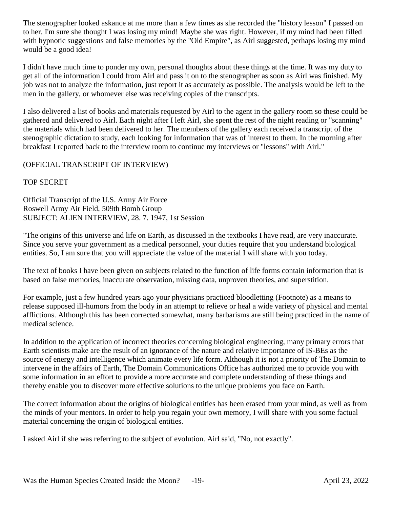The stenographer looked askance at me more than a few times as she recorded the "history lesson" I passed on to her. I'm sure she thought I was losing my mind! Maybe she was right. However, if my mind had been filled with hypnotic suggestions and false memories by the "Old Empire", as Airl suggested, perhaps losing my mind would be a good idea!

I didn't have much time to ponder my own, personal thoughts about these things at the time. It was my duty to get all of the information I could from Airl and pass it on to the stenographer as soon as Airl was finished. My job was not to analyze the information, just report it as accurately as possible. The analysis would be left to the men in the gallery, or whomever else was receiving copies of the transcripts.

I also delivered a list of books and materials requested by Airl to the agent in the gallery room so these could be gathered and delivered to Airl. Each night after I left Airl, she spent the rest of the night reading or "scanning" the materials which had been delivered to her. The members of the gallery each received a transcript of the stenographic dictation to study, each looking for information that was of interest to them. In the morning after breakfast I reported back to the interview room to continue my interviews or "lessons" with Airl."

# (OFFICIAL TRANSCRIPT OF INTERVIEW)

### TOP SECRET

Official Transcript of the U.S. Army Air Force Roswell Army Air Field, 509th Bomb Group SUBJECT: ALIEN INTERVIEW, 28. 7. 1947, 1st Session

"The origins of this universe and life on Earth, as discussed in the textbooks I have read, are very inaccurate. Since you serve your government as a medical personnel, your duties require that you understand biological entities. So, I am sure that you will appreciate the value of the material I will share with you today.

The text of books I have been given on subjects related to the function of life forms contain information that is based on false memories, inaccurate observation, missing data, unproven theories, and superstition.

For example, just a few hundred years ago your physicians practiced bloodletting (Footnote) as a means to release supposed ill-humors from the body in an attempt to relieve or heal a wide variety of physical and mental afflictions. Although this has been corrected somewhat, many barbarisms are still being practiced in the name of medical science.

In addition to the application of incorrect theories concerning biological engineering, many primary errors that Earth scientists make are the result of an ignorance of the nature and relative importance of IS-BEs as the source of energy and intelligence which animate every life form. Although it is not a priority of The Domain to intervene in the affairs of Earth, The Domain Communications Office has authorized me to provide you with some information in an effort to provide a more accurate and complete understanding of these things and thereby enable you to discover more effective solutions to the unique problems you face on Earth.

The correct information about the origins of biological entities has been erased from your mind, as well as from the minds of your mentors. In order to help you regain your own memory, I will share with you some factual material concerning the origin of biological entities.

I asked Airl if she was referring to the subject of evolution. Airl said, "No, not exactly".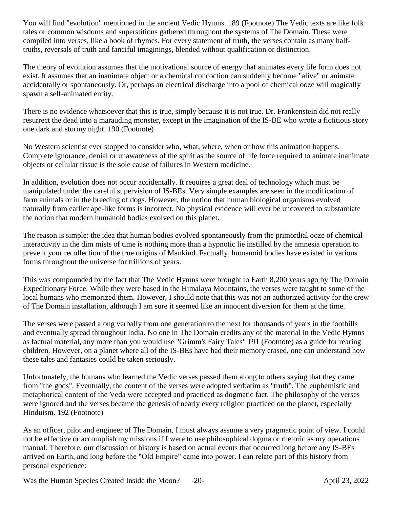You will find "evolution" mentioned in the ancient Vedic Hymns. 189 (Footnote) The Vedic texts are like folk tales or common wisdoms and superstitions gathered throughout the systems of The Domain. These were compiled into verses, like a book of rhymes. For every statement of truth, the verses contain as many halftruths, reversals of truth and fanciful imaginings, blended without qualification or distinction.

The theory of evolution assumes that the motivational source of energy that animates every life form does not exist. It assumes that an inanimate object or a chemical concoction can suddenly become "alive" or animate accidentally or spontaneously. Or, perhaps an electrical discharge into a pool of chemical ooze will magically spawn a self-animated entity.

There is no evidence whatsoever that this is true, simply because it is not true. Dr. Frankenstein did not really resurrect the dead into a marauding monster, except in the imagination of the IS-BE who wrote a fictitious story one dark and stormy night. 190 (Footnote)

No Western scientist ever stopped to consider who, what, where, when or how this animation happens. Complete ignorance, denial or unawareness of the spirit as the source of life force required to animate inanimate objects or cellular tissue is the sole cause of failures in Western medicine.

In addition, evolution does not occur accidentally. It requires a great deal of technology which must be manipulated under the careful supervision of IS-BEs. Very simple examples are seen in the modification of farm animals or in the breeding of dogs. However, the notion that human biological organisms evolved naturally from earlier ape-like forms is incorrect. No physical evidence will ever be uncovered to substantiate the notion that modern humanoid bodies evolved on this planet.

The reason is simple: the idea that human bodies evolved spontaneously from the primordial ooze of chemical interactivity in the dim mists of time is nothing more than a hypnotic lie instilled by the amnesia operation to prevent your recollection of the true origins of Mankind. Factually, humanoid bodies have existed in various forms throughout the universe for trillions of years.

This was compounded by the fact that The Vedic Hymns were brought to Earth 8,200 years ago by The Domain Expeditionary Force. While they were based in the Himalaya Mountains, the verses were taught to some of the local humans who memorized them. However, I should note that this was not an authorized activity for the crew of The Domain installation, although I am sure it seemed like an innocent diversion for them at the time.

The verses were passed along verbally from one generation to the next for thousands of years in the foothills and eventually spread throughout India. No one in The Domain credits any of the material in the Vedic Hymns as factual material, any more than you would use "Grimm's Fairy Tales" 191 (Footnote) as a guide for rearing children. However, on a planet where all of the IS-BEs have had their memory erased, one can understand how these tales and fantasies could be taken seriously.

Unfortunately, the humans who learned the Vedic verses passed them along to others saying that they came from "the gods". Eventually, the content of the verses were adopted verbatim as "truth". The euphemistic and metaphorical content of the Veda were accepted and practiced as dogmatic fact. The philosophy of the verses were ignored and the verses became the genesis of nearly every religion practiced on the planet, especially Hinduism. 192 (Footnote)

As an officer, pilot and engineer of The Domain, I must always assume a very pragmatic point of view. I could not be effective or accomplish my missions if I were to use philosophical dogma or rhetoric as my operations manual. Therefore, our discussion of history is based on actual events that occurred long before any IS-BEs arrived on Earth, and long before the "Old Empire" came into power. I can relate part of this history from personal experience:

Was the Human Species Created Inside the Moon? -20- April 23, 2022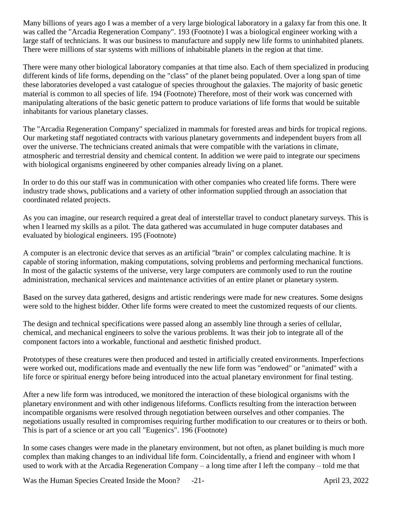Many billions of years ago I was a member of a very large biological laboratory in a galaxy far from this one. It was called the "Arcadia Regeneration Company". 193 (Footnote) I was a biological engineer working with a large staff of technicians. It was our business to manufacture and supply new life forms to uninhabited planets. There were millions of star systems with millions of inhabitable planets in the region at that time.

There were many other biological laboratory companies at that time also. Each of them specialized in producing different kinds of life forms, depending on the "class" of the planet being populated. Over a long span of time these laboratories developed a vast catalogue of species throughout the galaxies. The majority of basic genetic material is common to all species of life. 194 (Footnote) Therefore, most of their work was concerned with manipulating alterations of the basic genetic pattern to produce variations of life forms that would be suitable inhabitants for various planetary classes.

The "Arcadia Regeneration Company" specialized in mammals for forested areas and birds for tropical regions. Our marketing staff negotiated contracts with various planetary governments and independent buyers from all over the universe. The technicians created animals that were compatible with the variations in climate, atmospheric and terrestrial density and chemical content. In addition we were paid to integrate our specimens with biological organisms engineered by other companies already living on a planet.

In order to do this our staff was in communication with other companies who created life forms. There were industry trade shows, publications and a variety of other information supplied through an association that coordinated related projects.

As you can imagine, our research required a great deal of interstellar travel to conduct planetary surveys. This is when I learned my skills as a pilot. The data gathered was accumulated in huge computer databases and evaluated by biological engineers. 195 (Footnote)

A computer is an electronic device that serves as an artificial "brain" or complex calculating machine. It is capable of storing information, making computations, solving problems and performing mechanical functions. In most of the galactic systems of the universe, very large computers are commonly used to run the routine administration, mechanical services and maintenance activities of an entire planet or planetary system.

Based on the survey data gathered, designs and artistic renderings were made for new creatures. Some designs were sold to the highest bidder. Other life forms were created to meet the customized requests of our clients.

The design and technical specifications were passed along an assembly line through a series of cellular, chemical, and mechanical engineers to solve the various problems. It was their job to integrate all of the component factors into a workable, functional and aesthetic finished product.

Prototypes of these creatures were then produced and tested in artificially created environments. Imperfections were worked out, modifications made and eventually the new life form was "endowed" or "animated" with a life force or spiritual energy before being introduced into the actual planetary environment for final testing.

After a new life form was introduced, we monitored the interaction of these biological organisms with the planetary environment and with other indigenous lifeforms. Conflicts resulting from the interaction between incompatible organisms were resolved through negotiation between ourselves and other companies. The negotiations usually resulted in compromises requiring further modification to our creatures or to theirs or both. This is part of a science or art you call "Eugenics". 196 (Footnote)

In some cases changes were made in the planetary environment, but not often, as planet building is much more complex than making changes to an individual life form. Coincidentally, a friend and engineer with whom I used to work with at the Arcadia Regeneration Company – a long time after I left the company – told me that

Was the Human Species Created Inside the Moon? -21- April 23, 2022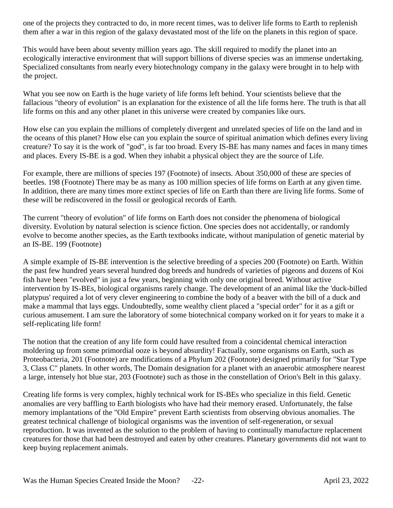one of the projects they contracted to do, in more recent times, was to deliver life forms to Earth to replenish them after a war in this region of the galaxy devastated most of the life on the planets in this region of space.

This would have been about seventy million years ago. The skill required to modify the planet into an ecologically interactive environment that will support billions of diverse species was an immense undertaking. Specialized consultants from nearly every biotechnology company in the galaxy were brought in to help with the project.

What you see now on Earth is the huge variety of life forms left behind. Your scientists believe that the fallacious "theory of evolution" is an explanation for the existence of all the life forms here. The truth is that all life forms on this and any other planet in this universe were created by companies like ours.

How else can you explain the millions of completely divergent and unrelated species of life on the land and in the oceans of this planet? How else can you explain the source of spiritual animation which defines every living creature? To say it is the work of "god", is far too broad. Every IS-BE has many names and faces in many times and places. Every IS-BE is a god. When they inhabit a physical object they are the source of Life.

For example, there are millions of species 197 (Footnote) of insects. About 350,000 of these are species of beetles. 198 (Footnote) There may be as many as 100 million species of life forms on Earth at any given time. In addition, there are many times more extinct species of life on Earth than there are living life forms. Some of these will be rediscovered in the fossil or geological records of Earth.

The current "theory of evolution" of life forms on Earth does not consider the phenomena of biological diversity. Evolution by natural selection is science fiction. One species does not accidentally, or randomly evolve to become another species, as the Earth textbooks indicate, without manipulation of genetic material by an IS-BE. 199 (Footnote)

A simple example of IS-BE intervention is the selective breeding of a species 200 (Footnote) on Earth. Within the past few hundred years several hundred dog breeds and hundreds of varieties of pigeons and dozens of Koi fish have been "evolved" in just a few years, beginning with only one original breed. Without active intervention by IS-BEs, biological organisms rarely change. The development of an animal like the 'duck-billed platypus' required a lot of very clever engineering to combine the body of a beaver with the bill of a duck and make a mammal that lays eggs. Undoubtedly, some wealthy client placed a "special order" for it as a gift or curious amusement. I am sure the laboratory of some biotechnical company worked on it for years to make it a self-replicating life form!

The notion that the creation of any life form could have resulted from a coincidental chemical interaction moldering up from some primordial ooze is beyond absurdity! Factually, some organisms on Earth, such as Proteobacteria, 201 (Footnote) are modifications of a Phylum 202 (Footnote) designed primarily for "Star Type 3, Class C" planets. In other words, The Domain designation for a planet with an anaerobic atmosphere nearest a large, intensely hot blue star, 203 (Footnote) such as those in the constellation of Orion's Belt in this galaxy.

Creating life forms is very complex, highly technical work for IS-BEs who specialize in this field. Genetic anomalies are very baffling to Earth biologists who have had their memory erased. Unfortunately, the false memory implantations of the "Old Empire" prevent Earth scientists from observing obvious anomalies. The greatest technical challenge of biological organisms was the invention of self-regeneration, or sexual reproduction. It was invented as the solution to the problem of having to continually manufacture replacement creatures for those that had been destroyed and eaten by other creatures. Planetary governments did not want to keep buying replacement animals.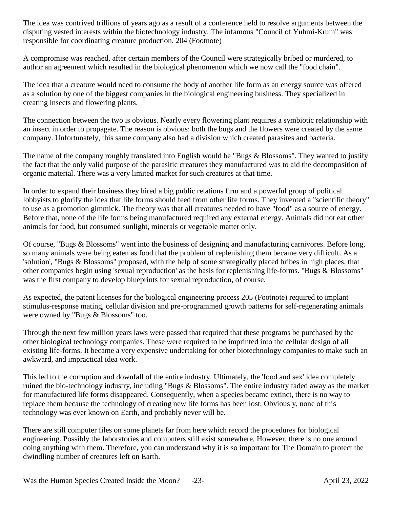The idea was contrived trillions of years ago as a result of a conference held to resolve arguments between the disputing vested interests within the biotechnology industry. The infamous "Council of Yuhmi-Krum" was responsible for coordinating creature production. 204 (Footnote)

A compromise was reached, after certain members of the Council were strategically bribed or murdered, to author an agreement which resulted in the biological phenomenon which we now call the "food chain".

The idea that a creature would need to consume the body of another life form as an energy source was offered as a solution by one of the biggest companies in the biological engineering business. They specialized in creating insects and flowering plants.

The connection between the two is obvious. Nearly every flowering plant requires a symbiotic relationship with an insect in order to propagate. The reason is obvious: both the bugs and the flowers were created by the same company. Unfortunately, this same company also had a division which created parasites and bacteria.

The name of the company roughly translated into English would be "Bugs & Blossoms". They wanted to justify the fact that the only valid purpose of the parasitic creatures they manufactured was to aid the decomposition of organic material. There was a very limited market for such creatures at that time.

In order to expand their business they hired a big public relations firm and a powerful group of political lobbyists to glorify the idea that life forms should feed from other life forms. They invented a "scientific theory" to use as a promotion gimmick. The theory was that all creatures needed to have "food" as a source of energy. Before that, none of the life forms being manufactured required any external energy. Animals did not eat other animals for food, but consumed sunlight, minerals or vegetable matter only.

Of course, "Bugs & Blossoms" went into the business of designing and manufacturing carnivores. Before long, so many animals were being eaten as food that the problem of replenishing them became very difficult. As a 'solution', "Bugs & Blossoms" proposed, with the help of some strategically placed bribes in high places, that other companies begin using 'sexual reproduction' as the basis for replenishing life-forms. "Bugs & Blossoms" was the first company to develop blueprints for sexual reproduction, of course.

As expected, the patent licenses for the biological engineering process 205 (Footnote) required to implant stimulus-response mating, cellular division and pre-programmed growth patterns for self-regenerating animals were owned by "Bugs & Blossoms" too.

Through the next few million years laws were passed that required that these programs be purchased by the other biological technology companies. These were required to be imprinted into the cellular design of all existing life-forms. It became a very expensive undertaking for other biotechnology companies to make such an awkward, and impractical idea work.

This led to the corruption and downfall of the entire industry. Ultimately, the 'food and sex' idea completely ruined the bio-technology industry, including "Bugs & Blossoms". The entire industry faded away as the market for manufactured life forms disappeared. Consequently, when a species became extinct, there is no way to replace them because the technology of creating new life forms has been lost. Obviously, none of this technology was ever known on Earth, and probably never will be.

There are still computer files on some planets far from here which record the procedures for biological engineering. Possibly the laboratories and computers still exist somewhere. However, there is no one around doing anything with them. Therefore, you can understand why it is so important for The Domain to protect the dwindling number of creatures left on Earth.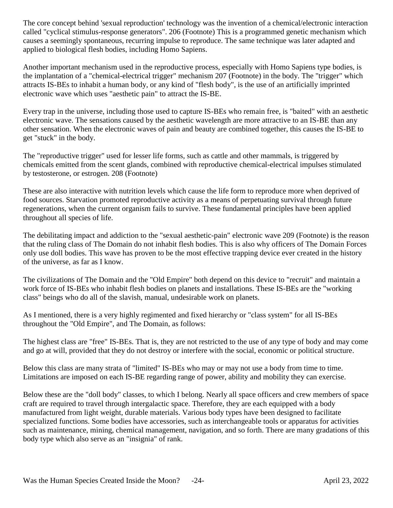The core concept behind 'sexual reproduction' technology was the invention of a chemical/electronic interaction called "cyclical stimulus-response generators". 206 (Footnote) This is a programmed genetic mechanism which causes a seemingly spontaneous, recurring impulse to reproduce. The same technique was later adapted and applied to biological flesh bodies, including Homo Sapiens.

Another important mechanism used in the reproductive process, especially with Homo Sapiens type bodies, is the implantation of a "chemical-electrical trigger" mechanism 207 (Footnote) in the body. The "trigger" which attracts IS-BEs to inhabit a human body, or any kind of "flesh body", is the use of an artificially imprinted electronic wave which uses "aesthetic pain" to attract the IS-BE.

Every trap in the universe, including those used to capture IS-BEs who remain free, is "baited" with an aesthetic electronic wave. The sensations caused by the aesthetic wavelength are more attractive to an IS-BE than any other sensation. When the electronic waves of pain and beauty are combined together, this causes the IS-BE to get "stuck" in the body.

The "reproductive trigger" used for lesser life forms, such as cattle and other mammals, is triggered by chemicals emitted from the scent glands, combined with reproductive chemical-electrical impulses stimulated by testosterone, or estrogen. 208 (Footnote)

These are also interactive with nutrition levels which cause the life form to reproduce more when deprived of food sources. Starvation promoted reproductive activity as a means of perpetuating survival through future regenerations, when the current organism fails to survive. These fundamental principles have been applied throughout all species of life.

The debilitating impact and addiction to the "sexual aesthetic-pain" electronic wave 209 (Footnote) is the reason that the ruling class of The Domain do not inhabit flesh bodies. This is also why officers of The Domain Forces only use doll bodies. This wave has proven to be the most effective trapping device ever created in the history of the universe, as far as I know.

The civilizations of The Domain and the "Old Empire" both depend on this device to "recruit" and maintain a work force of IS-BEs who inhabit flesh bodies on planets and installations. These IS-BEs are the "working class" beings who do all of the slavish, manual, undesirable work on planets.

As I mentioned, there is a very highly regimented and fixed hierarchy or "class system" for all IS-BEs throughout the "Old Empire", and The Domain, as follows:

The highest class are "free" IS-BEs. That is, they are not restricted to the use of any type of body and may come and go at will, provided that they do not destroy or interfere with the social, economic or political structure.

Below this class are many strata of "limited" IS-BEs who may or may not use a body from time to time. Limitations are imposed on each IS-BE regarding range of power, ability and mobility they can exercise.

Below these are the "doll body" classes, to which I belong. Nearly all space officers and crew members of space craft are required to travel through intergalactic space. Therefore, they are each equipped with a body manufactured from light weight, durable materials. Various body types have been designed to facilitate specialized functions. Some bodies have accessories, such as interchangeable tools or apparatus for activities such as maintenance, mining, chemical management, navigation, and so forth. There are many gradations of this body type which also serve as an "insignia" of rank.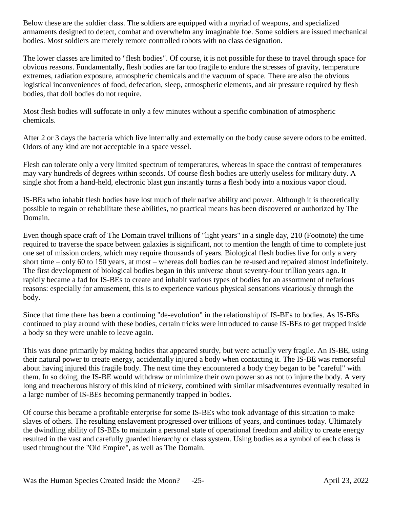Below these are the soldier class. The soldiers are equipped with a myriad of weapons, and specialized armaments designed to detect, combat and overwhelm any imaginable foe. Some soldiers are issued mechanical bodies. Most soldiers are merely remote controlled robots with no class designation.

The lower classes are limited to "flesh bodies". Of course, it is not possible for these to travel through space for obvious reasons. Fundamentally, flesh bodies are far too fragile to endure the stresses of gravity, temperature extremes, radiation exposure, atmospheric chemicals and the vacuum of space. There are also the obvious logistical inconveniences of food, defecation, sleep, atmospheric elements, and air pressure required by flesh bodies, that doll bodies do not require.

Most flesh bodies will suffocate in only a few minutes without a specific combination of atmospheric chemicals.

After 2 or 3 days the bacteria which live internally and externally on the body cause severe odors to be emitted. Odors of any kind are not acceptable in a space vessel.

Flesh can tolerate only a very limited spectrum of temperatures, whereas in space the contrast of temperatures may vary hundreds of degrees within seconds. Of course flesh bodies are utterly useless for military duty. A single shot from a hand-held, electronic blast gun instantly turns a flesh body into a noxious vapor cloud.

IS-BEs who inhabit flesh bodies have lost much of their native ability and power. Although it is theoretically possible to regain or rehabilitate these abilities, no practical means has been discovered or authorized by The Domain.

Even though space craft of The Domain travel trillions of "light years" in a single day, 210 (Footnote) the time required to traverse the space between galaxies is significant, not to mention the length of time to complete just one set of mission orders, which may require thousands of years. Biological flesh bodies live for only a very short time – only 60 to 150 years, at most – whereas doll bodies can be re-used and repaired almost indefinitely. The first development of biological bodies began in this universe about seventy-four trillion years ago. It rapidly became a fad for IS-BEs to create and inhabit various types of bodies for an assortment of nefarious reasons: especially for amusement, this is to experience various physical sensations vicariously through the body.

Since that time there has been a continuing "de-evolution" in the relationship of IS-BEs to bodies. As IS-BEs continued to play around with these bodies, certain tricks were introduced to cause IS-BEs to get trapped inside a body so they were unable to leave again.

This was done primarily by making bodies that appeared sturdy, but were actually very fragile. An IS-BE, using their natural power to create energy, accidentally injured a body when contacting it. The IS-BE was remorseful about having injured this fragile body. The next time they encountered a body they began to be "careful" with them. In so doing, the IS-BE would withdraw or minimize their own power so as not to injure the body. A very long and treacherous history of this kind of trickery, combined with similar misadventures eventually resulted in a large number of IS-BEs becoming permanently trapped in bodies.

Of course this became a profitable enterprise for some IS-BEs who took advantage of this situation to make slaves of others. The resulting enslavement progressed over trillions of years, and continues today. Ultimately the dwindling ability of IS-BEs to maintain a personal state of operational freedom and ability to create energy resulted in the vast and carefully guarded hierarchy or class system. Using bodies as a symbol of each class is used throughout the "Old Empire", as well as The Domain.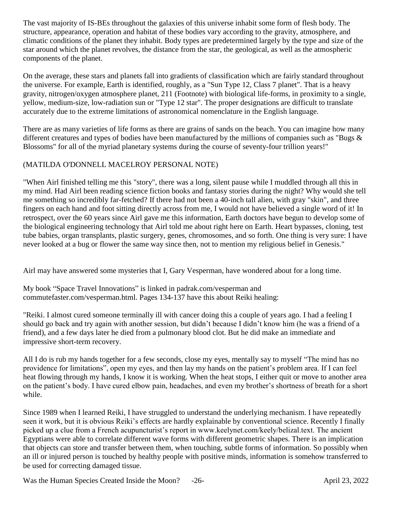The vast majority of IS-BEs throughout the galaxies of this universe inhabit some form of flesh body. The structure, appearance, operation and habitat of these bodies vary according to the gravity, atmosphere, and climatic conditions of the planet they inhabit. Body types are predetermined largely by the type and size of the star around which the planet revolves, the distance from the star, the geological, as well as the atmospheric components of the planet.

On the average, these stars and planets fall into gradients of classification which are fairly standard throughout the universe. For example, Earth is identified, roughly, as a "Sun Type 12, Class 7 planet". That is a heavy gravity, nitrogen/oxygen atmosphere planet, 211 (Footnote) with biological life-forms, in proximity to a single, yellow, medium-size, low-radiation sun or "Type 12 star". The proper designations are difficult to translate accurately due to the extreme limitations of astronomical nomenclature in the English language.

There are as many varieties of life forms as there are grains of sands on the beach. You can imagine how many different creatures and types of bodies have been manufactured by the millions of companies such as "Bugs & Blossoms" for all of the myriad planetary systems during the course of seventy-four trillion years!"

# (MATILDA O'DONNELL MACELROY PERSONAL NOTE)

"When Airl finished telling me this "story", there was a long, silent pause while I muddled through all this in my mind. Had Airl been reading science fiction books and fantasy stories during the night? Why would she tell me something so incredibly far-fetched? If there had not been a 40-inch tall alien, with gray "skin", and three fingers on each hand and foot sitting directly across from me, I would not have believed a single word of it! In retrospect, over the 60 years since Airl gave me this information, Earth doctors have begun to develop some of the biological engineering technology that Airl told me about right here on Earth. Heart bypasses, cloning, test tube babies, organ transplants, plastic surgery, genes, chromosomes, and so forth. One thing is very sure: I have never looked at a bug or flower the same way since then, not to mention my religious belief in Genesis."

Airl may have answered some mysteries that I, Gary Vesperman, have wondered about for a long time.

My book "Space Travel Innovations" is linked in padrak.com/vesperman and commutefaster.com/vesperman.html. Pages 134-137 have this about Reiki healing:

"Reiki. I almost cured someone terminally ill with cancer doing this a couple of years ago. I had a feeling I should go back and try again with another session, but didn't because I didn't know him (he was a friend of a friend), and a few days later he died from a pulmonary blood clot. But he did make an immediate and impressive short-term recovery.

All I do is rub my hands together for a few seconds, close my eyes, mentally say to myself "The mind has no providence for limitations", open my eyes, and then lay my hands on the patient's problem area. If I can feel heat flowing through my hands, I know it is working. When the heat stops, I either quit or move to another area on the patient's body. I have cured elbow pain, headaches, and even my brother's shortness of breath for a short while.

Since 1989 when I learned Reiki, I have struggled to understand the underlying mechanism. I have repeatedly seen it work, but it is obvious Reiki's effects are hardly explainable by conventional science. Recently I finally picked up a clue from a French acupuncturist's report in www.keelynet.com/keely/belizal.text. The ancient Egyptians were able to correlate different wave forms with different geometric shapes. There is an implication that objects can store and transfer between them, when touching, subtle forms of information. So possibly when an ill or injured person is touched by healthy people with positive minds, information is somehow transferred to be used for correcting damaged tissue.

Was the Human Species Created Inside the Moon? -26- April 23, 2022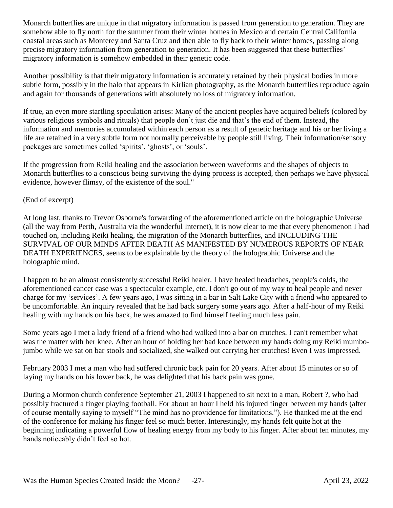Monarch butterflies are unique in that migratory information is passed from generation to generation. They are somehow able to fly north for the summer from their winter homes in Mexico and certain Central California coastal areas such as Monterey and Santa Cruz and then able to fly back to their winter homes, passing along precise migratory information from generation to generation. It has been suggested that these butterflies' migratory information is somehow embedded in their genetic code.

Another possibility is that their migratory information is accurately retained by their physical bodies in more subtle form, possibly in the halo that appears in Kirlian photography, as the Monarch butterflies reproduce again and again for thousands of generations with absolutely no loss of migratory information.

If true, an even more startling speculation arises: Many of the ancient peoples have acquired beliefs (colored by various religious symbols and rituals) that people don't just die and that's the end of them. Instead, the information and memories accumulated within each person as a result of genetic heritage and his or her living a life are retained in a very subtle form not normally perceivable by people still living. Their information/sensory packages are sometimes called 'spirits', 'ghosts', or 'souls'.

If the progression from Reiki healing and the association between waveforms and the shapes of objects to Monarch butterflies to a conscious being surviving the dying process is accepted, then perhaps we have physical evidence, however flimsy, of the existence of the soul."

# (End of excerpt)

At long last, thanks to Trevor Osborne's forwarding of the aforementioned article on the holographic Universe (all the way from Perth, Australia via the wonderful Internet), it is now clear to me that every phenomenon I had touched on, including Reiki healing, the migration of the Monarch butterflies, and INCLUDING THE SURVIVAL OF OUR MINDS AFTER DEATH AS MANIFESTED BY NUMEROUS REPORTS OF NEAR DEATH EXPERIENCES, seems to be explainable by the theory of the holographic Universe and the holographic mind.

I happen to be an almost consistently successful Reiki healer. I have healed headaches, people's colds, the aforementioned cancer case was a spectacular example, etc. I don't go out of my way to heal people and never charge for my 'services'. A few years ago, I was sitting in a bar in Salt Lake City with a friend who appeared to be uncomfortable. An inquiry revealed that he had back surgery some years ago. After a half-hour of my Reiki healing with my hands on his back, he was amazed to find himself feeling much less pain.

Some years ago I met a lady friend of a friend who had walked into a bar on crutches. I can't remember what was the matter with her knee. After an hour of holding her bad knee between my hands doing my Reiki mumbojumbo while we sat on bar stools and socialized, she walked out carrying her crutches! Even I was impressed.

February 2003 I met a man who had suffered chronic back pain for 20 years. After about 15 minutes or so of laying my hands on his lower back, he was delighted that his back pain was gone.

During a Mormon church conference September 21, 2003 I happened to sit next to a man, Robert ?, who had possibly fractured a finger playing football. For about an hour I held his injured finger between my hands (after of course mentally saying to myself "The mind has no providence for limitations."). He thanked me at the end of the conference for making his finger feel so much better. Interestingly, my hands felt quite hot at the beginning indicating a powerful flow of healing energy from my body to his finger. After about ten minutes, my hands noticeably didn't feel so hot.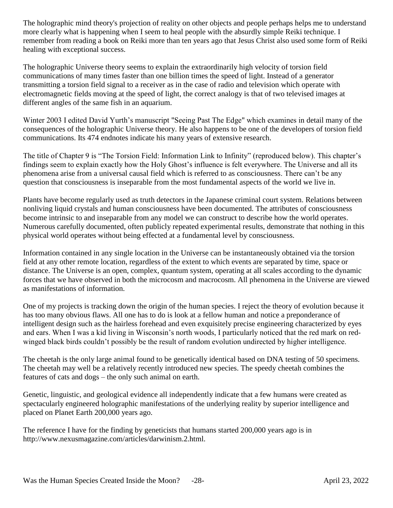The holographic mind theory's projection of reality on other objects and people perhaps helps me to understand more clearly what is happening when I seem to heal people with the absurdly simple Reiki technique. I remember from reading a book on Reiki more than ten years ago that Jesus Christ also used some form of Reiki healing with exceptional success.

The holographic Universe theory seems to explain the extraordinarily high velocity of torsion field communications of many times faster than one billion times the speed of light. Instead of a generator transmitting a torsion field signal to a receiver as in the case of radio and television which operate with electromagnetic fields moving at the speed of light, the correct analogy is that of two televised images at different angles of the same fish in an aquarium.

Winter 2003 I edited David Yurth's manuscript "Seeing Past The Edge" which examines in detail many of the consequences of the holographic Universe theory. He also happens to be one of the developers of torsion field communications. Its 474 endnotes indicate his many years of extensive research.

The title of Chapter 9 is "The Torsion Field: Information Link to Infinity" (reproduced below). This chapter's findings seem to explain exactly how the Holy Ghost's influence is felt everywhere. The Universe and all its phenomena arise from a universal causal field which is referred to as consciousness. There can't be any question that consciousness is inseparable from the most fundamental aspects of the world we live in.

Plants have become regularly used as truth detectors in the Japanese criminal court system. Relations between nonliving liquid crystals and human consciousness have been documented. The attributes of consciousness become intrinsic to and inseparable from any model we can construct to describe how the world operates. Numerous carefully documented, often publicly repeated experimental results, demonstrate that nothing in this physical world operates without being effected at a fundamental level by consciousness.

Information contained in any single location in the Universe can be instantaneously obtained via the torsion field at any other remote location, regardless of the extent to which events are separated by time, space or distance. The Universe is an open, complex, quantum system, operating at all scales according to the dynamic forces that we have observed in both the microcosm and macrocosm. All phenomena in the Universe are viewed as manifestations of information.

One of my projects is tracking down the origin of the human species. I reject the theory of evolution because it has too many obvious flaws. All one has to do is look at a fellow human and notice a preponderance of intelligent design such as the hairless forehead and even exquisitely precise engineering characterized by eyes and ears. When I was a kid living in Wisconsin's north woods, I particularly noticed that the red mark on redwinged black birds couldn't possibly be the result of random evolution undirected by higher intelligence.

The cheetah is the only large animal found to be genetically identical based on DNA testing of 50 specimens. The cheetah may well be a relatively recently introduced new species. The speedy cheetah combines the features of cats and dogs – the only such animal on earth.

Genetic, linguistic, and geological evidence all independently indicate that a few humans were created as spectacularly engineered holographic manifestations of the underlying reality by superior intelligence and placed on Planet Earth 200,000 years ago.

The reference I have for the finding by geneticists that humans started 200,000 years ago is in http://www.nexusmagazine.com/articles/darwinism.2.html.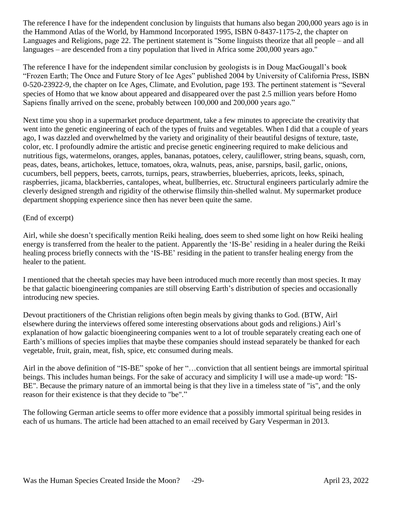The reference I have for the independent conclusion by linguists that humans also began 200,000 years ago is in the Hammond Atlas of the World, by Hammond Incorporated 1995, ISBN 0-8437-1175-2, the chapter on Languages and Religions, page 22. The pertinent statement is "Some linguists theorize that all people – and all languages – are descended from a tiny population that lived in Africa some 200,000 years ago."

The reference I have for the independent similar conclusion by geologists is in Doug MacGougall's book "Frozen Earth; The Once and Future Story of Ice Ages" published 2004 by University of California Press, ISBN 0-520-23922-9, the chapter on Ice Ages, Climate, and Evolution, page 193. The pertinent statement is "Several species of Homo that we know about appeared and disappeared over the past 2.5 million years before Homo Sapiens finally arrived on the scene, probably between 100,000 and 200,000 years ago."

Next time you shop in a supermarket produce department, take a few minutes to appreciate the creativity that went into the genetic engineering of each of the types of fruits and vegetables. When I did that a couple of years ago, I was dazzled and overwhelmed by the variety and originality of their beautiful designs of texture, taste, color, etc. I profoundly admire the artistic and precise genetic engineering required to make delicious and nutritious figs, watermelons, oranges, apples, bananas, potatoes, celery, cauliflower, string beans, squash, corn, peas, dates, beans, artichokes, lettuce, tomatoes, okra, walnuts, peas, anise, parsnips, basil, garlic, onions, cucumbers, bell peppers, beets, carrots, turnips, pears, strawberries, blueberries, apricots, leeks, spinach, raspberries, jicama, blackberries, cantalopes, wheat, bullberries, etc. Structural engineers particularly admire the cleverly designed strength and rigidity of the otherwise flimsily thin-shelled walnut. My supermarket produce department shopping experience since then has never been quite the same.

### (End of excerpt)

Airl, while she doesn't specifically mention Reiki healing, does seem to shed some light on how Reiki healing energy is transferred from the healer to the patient. Apparently the 'IS-Be' residing in a healer during the Reiki healing process briefly connects with the 'IS-BE' residing in the patient to transfer healing energy from the healer to the patient.

I mentioned that the cheetah species may have been introduced much more recently than most species. It may be that galactic bioengineering companies are still observing Earth's distribution of species and occasionally introducing new species.

Devout practitioners of the Christian religions often begin meals by giving thanks to God. (BTW, Airl elsewhere during the interviews offered some interesting observations about gods and religions.) Airl's explanation of how galactic bioengineering companies went to a lot of trouble separately creating each one of Earth's millions of species implies that maybe these companies should instead separately be thanked for each vegetable, fruit, grain, meat, fish, spice, etc consumed during meals.

Airl in the above definition of "IS-BE" spoke of her "…conviction that all sentient beings are immortal spiritual beings. This includes human beings. For the sake of accuracy and simplicity I will use a made-up word: "IS-BE". Because the primary nature of an immortal being is that they live in a timeless state of "is", and the only reason for their existence is that they decide to "be"."

The following German article seems to offer more evidence that a possibly immortal spiritual being resides in each of us humans. The article had been attached to an email received by Gary Vesperman in 2013.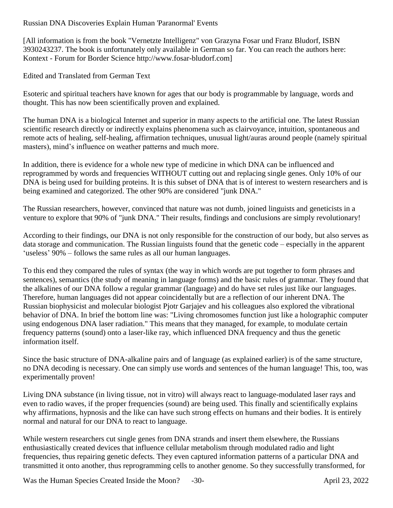Russian DNA Discoveries Explain Human 'Paranormal' Events

[All information is from the book "Vernetzte Intelligenz" von Grazyna Fosar und Franz Bludorf, ISBN 3930243237. The book is unfortunately only available in German so far. You can reach the authors here: Kontext - Forum for Border Science http://www.fosar-bludorf.com]

Edited and Translated from German Text

Esoteric and spiritual teachers have known for ages that our body is programmable by language, words and thought. This has now been scientifically proven and explained.

The human DNA is a biological Internet and superior in many aspects to the artificial one. The latest Russian scientific research directly or indirectly explains phenomena such as clairvoyance, intuition, spontaneous and remote acts of healing, self-healing, affirmation techniques, unusual light/auras around people (namely spiritual masters), mind's influence on weather patterns and much more.

In addition, there is evidence for a whole new type of medicine in which DNA can be influenced and reprogrammed by words and frequencies WITHOUT cutting out and replacing single genes. Only 10% of our DNA is being used for building proteins. It is this subset of DNA that is of interest to western researchers and is being examined and categorized. The other 90% are considered "junk DNA."

The Russian researchers, however, convinced that nature was not dumb, joined linguists and geneticists in a venture to explore that 90% of "junk DNA." Their results, findings and conclusions are simply revolutionary!

According to their findings, our DNA is not only responsible for the construction of our body, but also serves as data storage and communication. The Russian linguists found that the genetic code – especially in the apparent 'useless' 90% – follows the same rules as all our human languages.

To this end they compared the rules of syntax (the way in which words are put together to form phrases and sentences), semantics (the study of meaning in language forms) and the basic rules of grammar. They found that the alkalines of our DNA follow a regular grammar (language) and do have set rules just like our languages. Therefore, human languages did not appear coincidentally but are a reflection of our inherent DNA. The Russian biophysicist and molecular biologist Pjotr Garjajev and his colleagues also explored the vibrational behavior of DNA. In brief the bottom line was: "Living chromosomes function just like a holographic computer using endogenous DNA laser radiation." This means that they managed, for example, to modulate certain frequency patterns (sound) onto a laser-like ray, which influenced DNA frequency and thus the genetic information itself.

Since the basic structure of DNA-alkaline pairs and of language (as explained earlier) is of the same structure, no DNA decoding is necessary. One can simply use words and sentences of the human language! This, too, was experimentally proven!

Living DNA substance (in living tissue, not in vitro) will always react to language-modulated laser rays and even to radio waves, if the proper frequencies (sound) are being used. This finally and scientifically explains why affirmations, hypnosis and the like can have such strong effects on humans and their bodies. It is entirely normal and natural for our DNA to react to language.

While western researchers cut single genes from DNA strands and insert them elsewhere, the Russians enthusiastically created devices that influence cellular metabolism through modulated radio and light frequencies, thus repairing genetic defects. They even captured information patterns of a particular DNA and transmitted it onto another, thus reprogramming cells to another genome. So they successfully transformed, for

Was the Human Species Created Inside the Moon? -30- April 23, 2022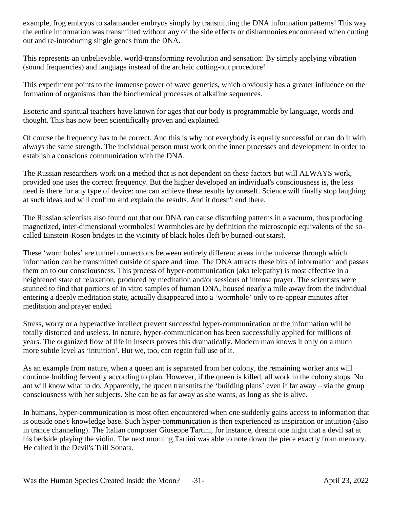example, frog embryos to salamander embryos simply by transmitting the DNA information patterns! This way the entire information was transmitted without any of the side effects or disharmonies encountered when cutting out and re-introducing single genes from the DNA.

This represents an unbelievable, world-transforming revolution and sensation: By simply applying vibration (sound frequencies) and language instead of the archaic cutting-out procedure!

This experiment points to the immense power of wave genetics, which obviously has a greater influence on the formation of organisms than the biochemical processes of alkaline sequences.

Esoteric and spiritual teachers have known for ages that our body is programmable by language, words and thought. This has now been scientifically proven and explained.

Of course the frequency has to be correct. And this is why not everybody is equally successful or can do it with always the same strength. The individual person must work on the inner processes and development in order to establish a conscious communication with the DNA.

The Russian researchers work on a method that is not dependent on these factors but will ALWAYS work, provided one uses the correct frequency. But the higher developed an individual's consciousness is, the less need is there for any type of device: one can achieve these results by oneself. Science will finally stop laughing at such ideas and will confirm and explain the results. And it doesn't end there.

The Russian scientists also found out that our DNA can cause disturbing patterns in a vacuum, thus producing magnetized, inter-dimensional wormholes! Wormholes are by definition the microscopic equivalents of the socalled Einstein-Rosen bridges in the vicinity of black holes (left by burned-out stars).

These 'wormholes' are tunnel connections between entirely different areas in the universe through which information can be transmitted outside of space and time. The DNA attracts these bits of information and passes them on to our consciousness. This process of hyper-communication (aka telepathy) is most effective in a heightened state of relaxation, produced by meditation and/or sessions of intense prayer. The scientists were stunned to find that portions of in vitro samples of human DNA, housed nearly a mile away from the individual entering a deeply meditation state, actually disappeared into a 'wormhole' only to re-appear minutes after meditation and prayer ended.

Stress, worry or a hyperactive intellect prevent successful hyper-communication or the information will be totally distorted and useless. In nature, hyper-communication has been successfully applied for millions of years. The organized flow of life in insects proves this dramatically. Modern man knows it only on a much more subtle level as 'intuition'. But we, too, can regain full use of it.

As an example from nature, when a queen ant is separated from her colony, the remaining worker ants will continue building fervently according to plan. However, if the queen is killed, all work in the colony stops. No ant will know what to do. Apparently, the queen transmits the 'building plans' even if far away – via the group consciousness with her subjects. She can be as far away as she wants, as long as she is alive.

In humans, hyper-communication is most often encountered when one suddenly gains access to information that is outside one's knowledge base. Such hyper-communication is then experienced as inspiration or intuition (also in trance channeling). The Italian composer Giuseppe Tartini, for instance, dreamt one night that a devil sat at his bedside playing the violin. The next morning Tartini was able to note down the piece exactly from memory. He called it the Devil's Trill Sonata.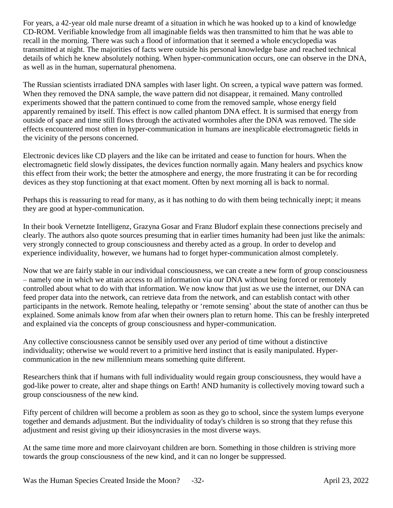For years, a 42-year old male nurse dreamt of a situation in which he was hooked up to a kind of knowledge CD-ROM. Verifiable knowledge from all imaginable fields was then transmitted to him that he was able to recall in the morning. There was such a flood of information that it seemed a whole encyclopedia was transmitted at night. The majorities of facts were outside his personal knowledge base and reached technical details of which he knew absolutely nothing. When hyper-communication occurs, one can observe in the DNA, as well as in the human, supernatural phenomena.

The Russian scientists irradiated DNA samples with laser light. On screen, a typical wave pattern was formed. When they removed the DNA sample, the wave pattern did not disappear, it remained. Many controlled experiments showed that the pattern continued to come from the removed sample, whose energy field apparently remained by itself. This effect is now called phantom DNA effect. It is surmised that energy from outside of space and time still flows through the activated wormholes after the DNA was removed. The side effects encountered most often in hyper-communication in humans are inexplicable electromagnetic fields in the vicinity of the persons concerned.

Electronic devices like CD players and the like can be irritated and cease to function for hours. When the electromagnetic field slowly dissipates, the devices function normally again. Many healers and psychics know this effect from their work; the better the atmosphere and energy, the more frustrating it can be for recording devices as they stop functioning at that exact moment. Often by next morning all is back to normal.

Perhaps this is reassuring to read for many, as it has nothing to do with them being technically inept; it means they are good at hyper-communication.

In their book Vernetzte Intelligenz, Grazyna Gosar and Franz Bludorf explain these connections precisely and clearly. The authors also quote sources presuming that in earlier times humanity had been just like the animals: very strongly connected to group consciousness and thereby acted as a group. In order to develop and experience individuality, however, we humans had to forget hyper-communication almost completely.

Now that we are fairly stable in our individual consciousness, we can create a new form of group consciousness – namely one in which we attain access to all information via our DNA without being forced or remotely controlled about what to do with that information. We now know that just as we use the internet, our DNA can feed proper data into the network, can retrieve data from the network, and can establish contact with other participants in the network. Remote healing, telepathy or 'remote sensing' about the state of another can thus be explained. Some animals know from afar when their owners plan to return home. This can be freshly interpreted and explained via the concepts of group consciousness and hyper-communication.

Any collective consciousness cannot be sensibly used over any period of time without a distinctive individuality; otherwise we would revert to a primitive herd instinct that is easily manipulated. Hypercommunication in the new millennium means something quite different.

Researchers think that if humans with full individuality would regain group consciousness, they would have a god-like power to create, alter and shape things on Earth! AND humanity is collectively moving toward such a group consciousness of the new kind.

Fifty percent of children will become a problem as soon as they go to school, since the system lumps everyone together and demands adjustment. But the individuality of today's children is so strong that they refuse this adjustment and resist giving up their idiosyncrasies in the most diverse ways.

At the same time more and more clairvoyant children are born. Something in those children is striving more towards the group consciousness of the new kind, and it can no longer be suppressed.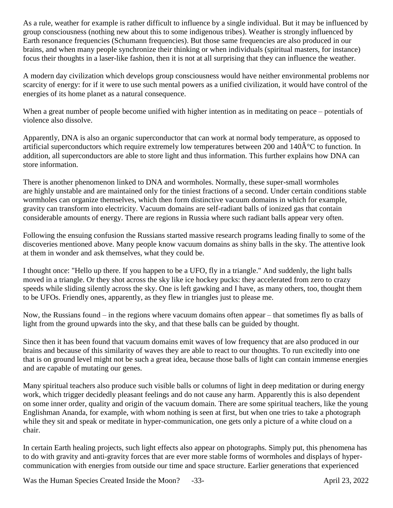As a rule, weather for example is rather difficult to influence by a single individual. But it may be influenced by group consciousness (nothing new about this to some indigenous tribes). Weather is strongly influenced by Earth resonance frequencies (Schumann frequencies). But those same frequencies are also produced in our brains, and when many people synchronize their thinking or when individuals (spiritual masters, for instance) focus their thoughts in a laser-like fashion, then it is not at all surprising that they can influence the weather.

A modern day civilization which develops group consciousness would have neither environmental problems nor scarcity of energy: for if it were to use such mental powers as a unified civilization, it would have control of the energies of its home planet as a natural consequence.

When a great number of people become unified with higher intention as in meditating on peace – potentials of violence also dissolve.

Apparently, DNA is also an organic superconductor that can work at normal body temperature, as opposed to artificial superconductors which require extremely low temperatures between 200 and  $140\hat{A}^{\circ}C$  to function. In addition, all superconductors are able to store light and thus information. This further explains how DNA can store information.

There is another phenomenon linked to DNA and wormholes. Normally, these super-small wormholes are highly unstable and are maintained only for the tiniest fractions of a second. Under certain conditions stable wormholes can organize themselves, which then form distinctive vacuum domains in which for example, gravity can transform into electricity. Vacuum domains are self-radiant balls of ionized gas that contain considerable amounts of energy. There are regions in Russia where such radiant balls appear very often.

Following the ensuing confusion the Russians started massive research programs leading finally to some of the discoveries mentioned above. Many people know vacuum domains as shiny balls in the sky. The attentive look at them in wonder and ask themselves, what they could be.

I thought once: "Hello up there. If you happen to be a UFO, fly in a triangle." And suddenly, the light balls moved in a triangle. Or they shot across the sky like ice hockey pucks: they accelerated from zero to crazy speeds while sliding silently across the sky. One is left gawking and I have, as many others, too, thought them to be UFOs. Friendly ones, apparently, as they flew in triangles just to please me.

Now, the Russians found – in the regions where vacuum domains often appear – that sometimes fly as balls of light from the ground upwards into the sky, and that these balls can be guided by thought.

Since then it has been found that vacuum domains emit waves of low frequency that are also produced in our brains and because of this similarity of waves they are able to react to our thoughts. To run excitedly into one that is on ground level might not be such a great idea, because those balls of light can contain immense energies and are capable of mutating our genes.

Many spiritual teachers also produce such visible balls or columns of light in deep meditation or during energy work, which trigger decidedly pleasant feelings and do not cause any harm. Apparently this is also dependent on some inner order, quality and origin of the vacuum domain. There are some spiritual teachers, like the young Englishman Ananda, for example, with whom nothing is seen at first, but when one tries to take a photograph while they sit and speak or meditate in hyper-communication, one gets only a picture of a white cloud on a chair.

In certain Earth healing projects, such light effects also appear on photographs. Simply put, this phenomena has to do with gravity and anti-gravity forces that are ever more stable forms of wormholes and displays of hypercommunication with energies from outside our time and space structure. Earlier generations that experienced

Was the Human Species Created Inside the Moon? -33- April 23, 2022